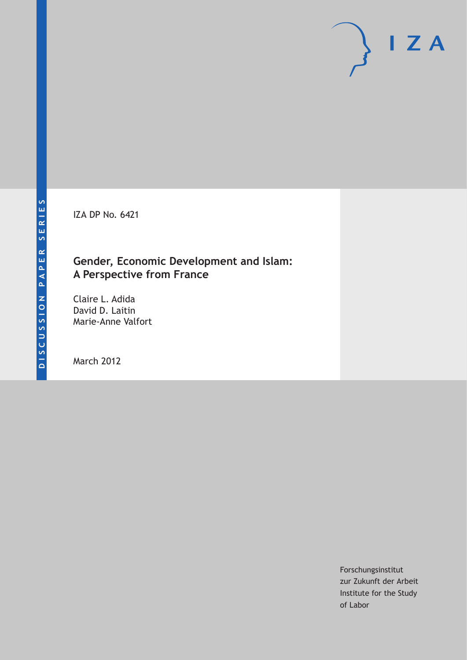IZA DP No. 6421

### **Gender, Economic Development and Islam: A Perspective from France**

Claire L. Adida David D. Laitin Marie-Anne Valfort

March 2012

Forschungsinstitut zur Zukunft der Arbeit Institute for the Study of Labor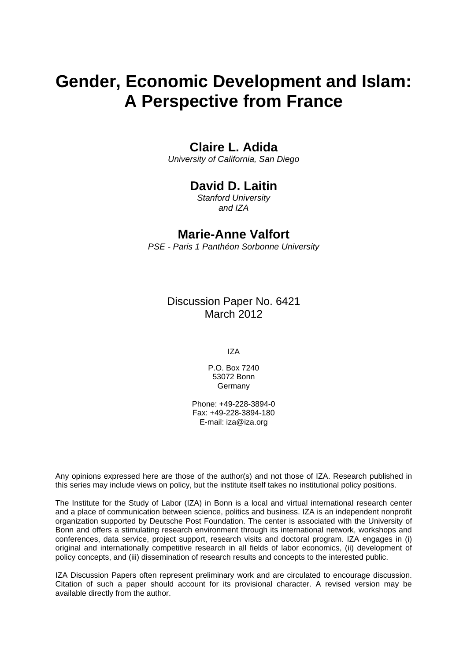# **Gender, Economic Development and Islam: A Perspective from France**

### **Claire L. Adida**

*University of California, San Diego* 

### **David D. Laitin**

*Stanford University and IZA* 

#### **Marie-Anne Valfort**

*PSE - Paris 1 Panthéon Sorbonne University* 

Discussion Paper No. 6421 March 2012

IZA

P.O. Box 7240 53072 Bonn Germany

Phone: +49-228-3894-0 Fax: +49-228-3894-180 E-mail: [iza@iza.org](mailto:iza@iza.org)

Any opinions expressed here are those of the author(s) and not those of IZA. Research published in this series may include views on policy, but the institute itself takes no institutional policy positions.

The Institute for the Study of Labor (IZA) in Bonn is a local and virtual international research center and a place of communication between science, politics and business. IZA is an independent nonprofit organization supported by Deutsche Post Foundation. The center is associated with the University of Bonn and offers a stimulating research environment through its international network, workshops and conferences, data service, project support, research visits and doctoral program. IZA engages in (i) original and internationally competitive research in all fields of labor economics, (ii) development of policy concepts, and (iii) dissemination of research results and concepts to the interested public.

IZA Discussion Papers often represent preliminary work and are circulated to encourage discussion. Citation of such a paper should account for its provisional character. A revised version may be available directly from the author.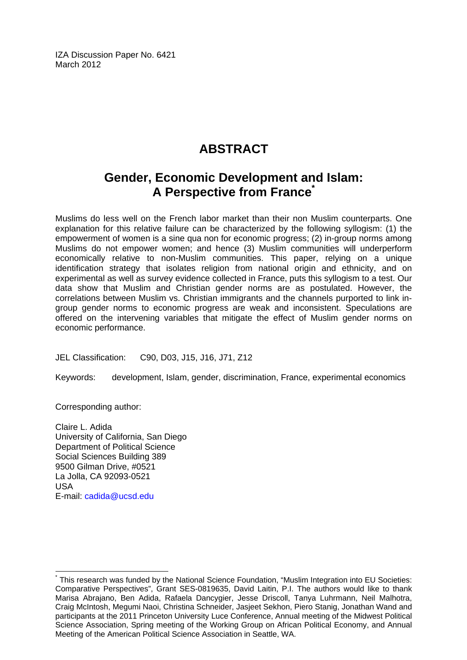IZA Discussion Paper No. 6421 March 2012

# **ABSTRACT**

# **Gender, Economic Development and Islam: A Perspective from Franc[e\\*](#page-2-0)**

Muslims do less well on the French labor market than their non Muslim counterparts. One explanation for this relative failure can be characterized by the following syllogism: (1) the empowerment of women is a sine qua non for economic progress; (2) in-group norms among Muslims do not empower women; and hence (3) Muslim communities will underperform economically relative to non-Muslim communities. This paper, relying on a unique identification strategy that isolates religion from national origin and ethnicity, and on experimental as well as survey evidence collected in France, puts this syllogism to a test. Our data show that Muslim and Christian gender norms are as postulated. However, the correlations between Muslim vs. Christian immigrants and the channels purported to link ingroup gender norms to economic progress are weak and inconsistent. Speculations are offered on the intervening variables that mitigate the effect of Muslim gender norms on economic performance.

JEL Classification: C90, D03, J15, J16, J71, Z12

Keywords: development, Islam, gender, discrimination, France, experimental economics

Corresponding author:

 $\overline{a}$ 

Claire L. Adida University of California, San Diego Department of Political Science Social Sciences Building 389 9500 Gilman Drive, #0521 La Jolla, CA 92093-0521 USA E-mail: [cadida@ucsd.edu](mailto:cadida@ucsd.edu)

<span id="page-2-0"></span><sup>\*</sup> This research was funded by the National Science Foundation, "Muslim Integration into EU Societies: Comparative Perspectives", Grant SES-0819635, David Laitin, P.I. The authors would like to thank Marisa Abrajano, Ben Adida, Rafaela Dancygier, Jesse Driscoll, Tanya Luhrmann, Neil Malhotra, Craig McIntosh, Megumi Naoi, Christina Schneider, Jasjeet Sekhon, Piero Stanig, Jonathan Wand and participants at the 2011 Princeton University Luce Conference, Annual meeting of the Midwest Political Science Association, Spring meeting of the Working Group on African Political Economy, and Annual Meeting of the American Political Science Association in Seattle, WA.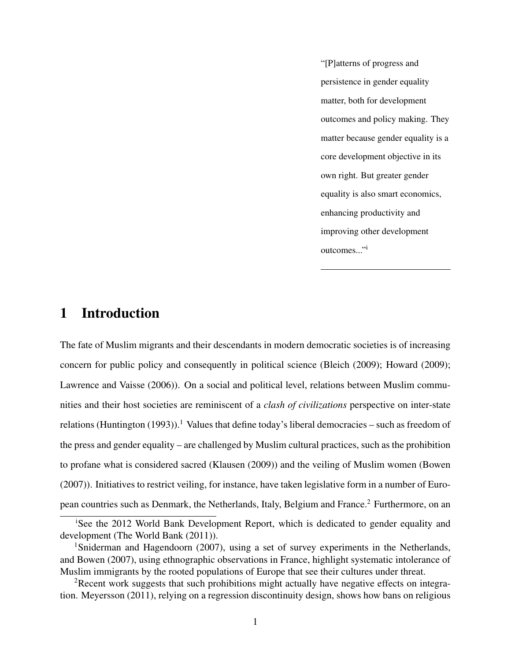"[P]atterns of progress and persistence in gender equality matter, both for development outcomes and policy making. They matter because gender equality is a core development objective in its own right. But greater gender equality is also smart economics, enhancing productivity and improving other development outcomes..."i

### 1 Introduction

The fate of Muslim migrants and their descendants in modern democratic societies is of increasing concern for public policy and consequently in political science (Bleich (2009); Howard (2009); Lawrence and Vaisse (2006)). On a social and political level, relations between Muslim communities and their host societies are reminiscent of a *clash of civilizations* perspective on inter-state relations (Huntington (1993)).<sup>1</sup> Values that define today's liberal democracies – such as freedom of the press and gender equality – are challenged by Muslim cultural practices, such as the prohibition to profane what is considered sacred (Klausen (2009)) and the veiling of Muslim women (Bowen (2007)). Initiatives to restrict veiling, for instance, have taken legislative form in a number of European countries such as Denmark, the Netherlands, Italy, Belgium and France.<sup>2</sup> Furthermore, on an

<sup>&</sup>lt;sup>i</sup>See the 2012 World Bank Development Report, which is dedicated to gender equality and development (The World Bank (2011)).

<sup>&</sup>lt;sup>1</sup>Sniderman and Hagendoorn (2007), using a set of survey experiments in the Netherlands, and Bowen (2007), using ethnographic observations in France, highlight systematic intolerance of Muslim immigrants by the rooted populations of Europe that see their cultures under threat.

<sup>&</sup>lt;sup>2</sup>Recent work suggests that such prohibitions might actually have negative effects on integration. Meyersson (2011), relying on a regression discontinuity design, shows how bans on religious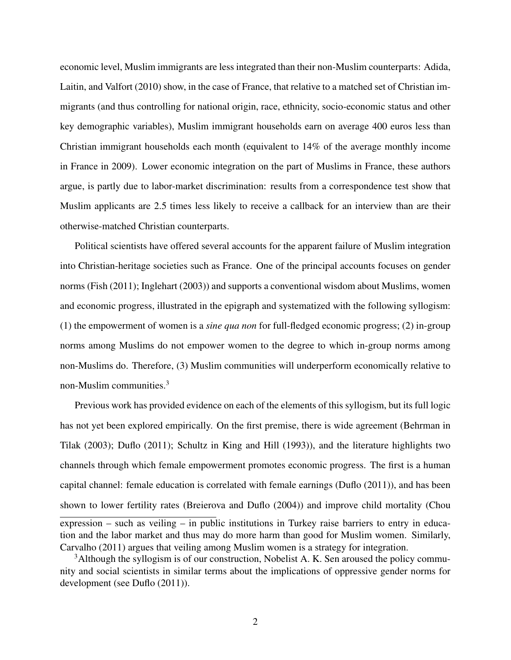economic level, Muslim immigrants are less integrated than their non-Muslim counterparts: Adida, Laitin, and Valfort (2010) show, in the case of France, that relative to a matched set of Christian immigrants (and thus controlling for national origin, race, ethnicity, socio-economic status and other key demographic variables), Muslim immigrant households earn on average 400 euros less than Christian immigrant households each month (equivalent to 14% of the average monthly income in France in 2009). Lower economic integration on the part of Muslims in France, these authors argue, is partly due to labor-market discrimination: results from a correspondence test show that Muslim applicants are 2.5 times less likely to receive a callback for an interview than are their otherwise-matched Christian counterparts.

Political scientists have offered several accounts for the apparent failure of Muslim integration into Christian-heritage societies such as France. One of the principal accounts focuses on gender norms (Fish (2011); Inglehart (2003)) and supports a conventional wisdom about Muslims, women and economic progress, illustrated in the epigraph and systematized with the following syllogism: (1) the empowerment of women is a *sine qua non* for full-fledged economic progress; (2) in-group norms among Muslims do not empower women to the degree to which in-group norms among non-Muslims do. Therefore, (3) Muslim communities will underperform economically relative to non-Muslim communities.3

Previous work has provided evidence on each of the elements of this syllogism, but its full logic has not yet been explored empirically. On the first premise, there is wide agreement (Behrman in Tilak (2003); Duflo (2011); Schultz in King and Hill (1993)), and the literature highlights two channels through which female empowerment promotes economic progress. The first is a human capital channel: female education is correlated with female earnings (Duflo (2011)), and has been shown to lower fertility rates (Breierova and Duflo (2004)) and improve child mortality (Chou expression – such as veiling – in public institutions in Turkey raise barriers to entry in education and the labor market and thus may do more harm than good for Muslim women. Similarly, Carvalho (2011) argues that veiling among Muslim women is a strategy for integration.

<sup>&</sup>lt;sup>3</sup>Although the syllogism is of our construction, Nobelist A. K. Sen aroused the policy community and social scientists in similar terms about the implications of oppressive gender norms for development (see Duflo (2011)).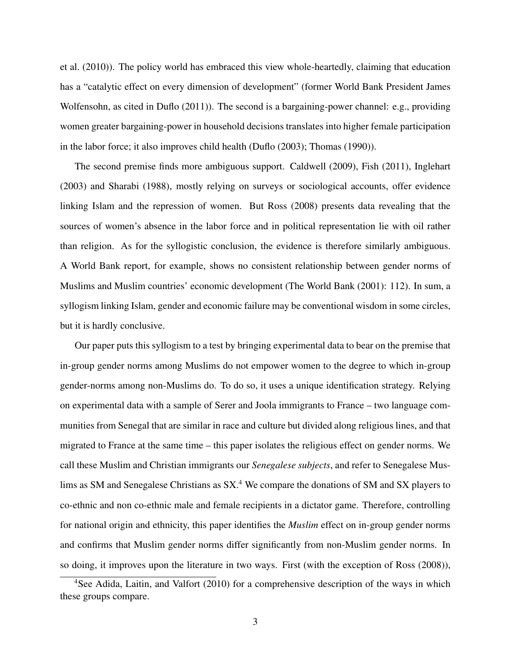et al. (2010)). The policy world has embraced this view whole-heartedly, claiming that education has a "catalytic effect on every dimension of development" (former World Bank President James Wolfensohn, as cited in Duflo (2011)). The second is a bargaining-power channel: e.g., providing women greater bargaining-power in household decisions translates into higher female participation in the labor force; it also improves child health (Duflo (2003); Thomas (1990)).

The second premise finds more ambiguous support. Caldwell (2009), Fish (2011), Inglehart (2003) and Sharabi (1988), mostly relying on surveys or sociological accounts, offer evidence linking Islam and the repression of women. But Ross (2008) presents data revealing that the sources of women's absence in the labor force and in political representation lie with oil rather than religion. As for the syllogistic conclusion, the evidence is therefore similarly ambiguous. A World Bank report, for example, shows no consistent relationship between gender norms of Muslims and Muslim countries' economic development (The World Bank (2001): 112). In sum, a syllogism linking Islam, gender and economic failure may be conventional wisdom in some circles, but it is hardly conclusive.

Our paper puts this syllogism to a test by bringing experimental data to bear on the premise that in-group gender norms among Muslims do not empower women to the degree to which in-group gender-norms among non-Muslims do. To do so, it uses a unique identification strategy. Relying on experimental data with a sample of Serer and Joola immigrants to France – two language communities from Senegal that are similar in race and culture but divided along religious lines, and that migrated to France at the same time – this paper isolates the religious effect on gender norms. We call these Muslim and Christian immigrants our *Senegalese subjects*, and refer to Senegalese Muslims as SM and Senegalese Christians as  $SX^4$ . We compare the donations of SM and SX players to co-ethnic and non co-ethnic male and female recipients in a dictator game. Therefore, controlling for national origin and ethnicity, this paper identifies the *Muslim* effect on in-group gender norms and confirms that Muslim gender norms differ significantly from non-Muslim gender norms. In so doing, it improves upon the literature in two ways. First (with the exception of Ross (2008)),

<sup>4</sup>See Adida, Laitin, and Valfort (2010) for a comprehensive description of the ways in which these groups compare.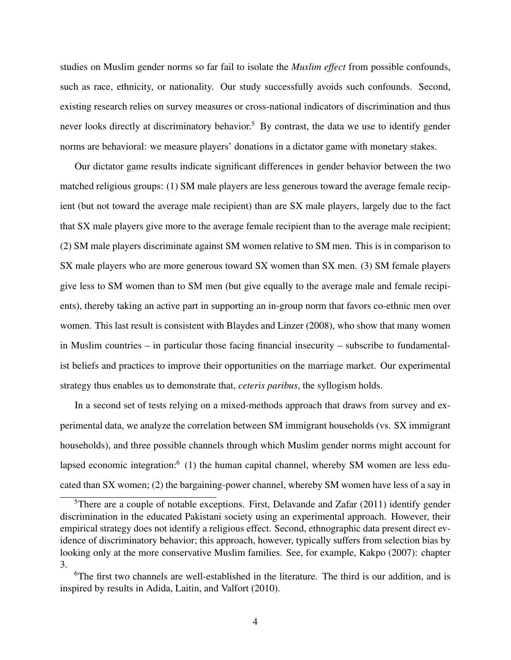studies on Muslim gender norms so far fail to isolate the *Muslim effect* from possible confounds, such as race, ethnicity, or nationality. Our study successfully avoids such confounds. Second, existing research relies on survey measures or cross-national indicators of discrimination and thus never looks directly at discriminatory behavior.<sup>5</sup> By contrast, the data we use to identify gender norms are behavioral: we measure players' donations in a dictator game with monetary stakes.

Our dictator game results indicate significant differences in gender behavior between the two matched religious groups: (1) SM male players are less generous toward the average female recipient (but not toward the average male recipient) than are SX male players, largely due to the fact that SX male players give more to the average female recipient than to the average male recipient; (2) SM male players discriminate against SM women relative to SM men. This is in comparison to SX male players who are more generous toward SX women than SX men. (3) SM female players give less to SM women than to SM men (but give equally to the average male and female recipients), thereby taking an active part in supporting an in-group norm that favors co-ethnic men over women. This last result is consistent with Blaydes and Linzer (2008), who show that many women in Muslim countries – in particular those facing financial insecurity – subscribe to fundamentalist beliefs and practices to improve their opportunities on the marriage market. Our experimental strategy thus enables us to demonstrate that, *ceteris paribus*, the syllogism holds.

In a second set of tests relying on a mixed-methods approach that draws from survey and experimental data, we analyze the correlation between SM immigrant households (vs. SX immigrant households), and three possible channels through which Muslim gender norms might account for lapsed economic integration: $6(1)$  the human capital channel, whereby SM women are less educated than SX women; (2) the bargaining-power channel, whereby SM women have less of a say in

<sup>&</sup>lt;sup>5</sup>There are a couple of notable exceptions. First, Delavande and Zafar (2011) identify gender discrimination in the educated Pakistani society using an experimental approach. However, their empirical strategy does not identify a religious effect. Second, ethnographic data present direct evidence of discriminatory behavior; this approach, however, typically suffers from selection bias by looking only at the more conservative Muslim families. See, for example, Kakpo (2007): chapter 3.

<sup>&</sup>lt;sup>6</sup>The first two channels are well-established in the literature. The third is our addition, and is inspired by results in Adida, Laitin, and Valfort (2010).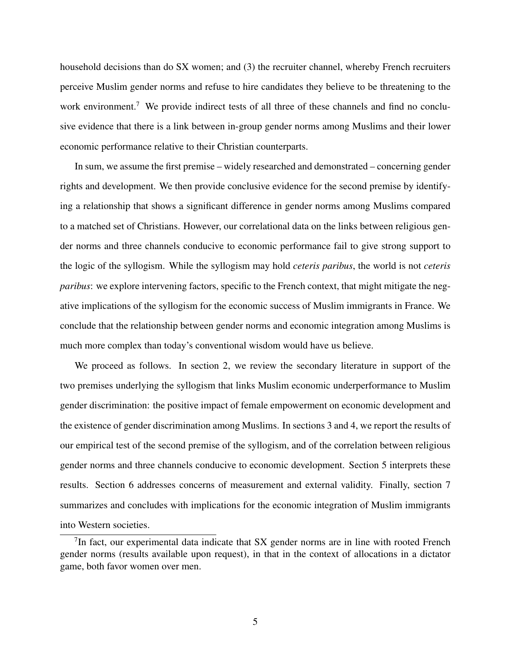household decisions than do SX women; and (3) the recruiter channel, whereby French recruiters perceive Muslim gender norms and refuse to hire candidates they believe to be threatening to the work environment.<sup>7</sup> We provide indirect tests of all three of these channels and find no conclusive evidence that there is a link between in-group gender norms among Muslims and their lower economic performance relative to their Christian counterparts.

In sum, we assume the first premise – widely researched and demonstrated – concerning gender rights and development. We then provide conclusive evidence for the second premise by identifying a relationship that shows a significant difference in gender norms among Muslims compared to a matched set of Christians. However, our correlational data on the links between religious gender norms and three channels conducive to economic performance fail to give strong support to the logic of the syllogism. While the syllogism may hold *ceteris paribus*, the world is not *ceteris paribus*: we explore intervening factors, specific to the French context, that might mitigate the negative implications of the syllogism for the economic success of Muslim immigrants in France. We conclude that the relationship between gender norms and economic integration among Muslims is much more complex than today's conventional wisdom would have us believe.

We proceed as follows. In section 2, we review the secondary literature in support of the two premises underlying the syllogism that links Muslim economic underperformance to Muslim gender discrimination: the positive impact of female empowerment on economic development and the existence of gender discrimination among Muslims. In sections 3 and 4, we report the results of our empirical test of the second premise of the syllogism, and of the correlation between religious gender norms and three channels conducive to economic development. Section 5 interprets these results. Section 6 addresses concerns of measurement and external validity. Finally, section 7 summarizes and concludes with implications for the economic integration of Muslim immigrants into Western societies.

 $<sup>7</sup>$ In fact, our experimental data indicate that SX gender norms are in line with rooted French</sup> gender norms (results available upon request), in that in the context of allocations in a dictator game, both favor women over men.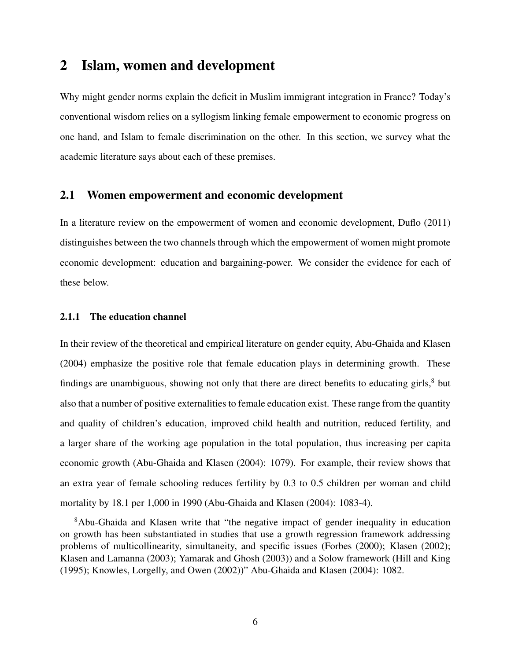### 2 Islam, women and development

Why might gender norms explain the deficit in Muslim immigrant integration in France? Today's conventional wisdom relies on a syllogism linking female empowerment to economic progress on one hand, and Islam to female discrimination on the other. In this section, we survey what the academic literature says about each of these premises.

#### 2.1 Women empowerment and economic development

In a literature review on the empowerment of women and economic development, Duflo (2011) distinguishes between the two channels through which the empowerment of women might promote economic development: education and bargaining-power. We consider the evidence for each of these below.

#### 2.1.1 The education channel

In their review of the theoretical and empirical literature on gender equity, Abu-Ghaida and Klasen (2004) emphasize the positive role that female education plays in determining growth. These findings are unambiguous, showing not only that there are direct benefits to educating girls, $8$  but also that a number of positive externalities to female education exist. These range from the quantity and quality of children's education, improved child health and nutrition, reduced fertility, and a larger share of the working age population in the total population, thus increasing per capita economic growth (Abu-Ghaida and Klasen (2004): 1079). For example, their review shows that an extra year of female schooling reduces fertility by 0.3 to 0.5 children per woman and child mortality by 18.1 per 1,000 in 1990 (Abu-Ghaida and Klasen (2004): 1083-4).

 $8$ Abu-Ghaida and Klasen write that "the negative impact of gender inequality in education on growth has been substantiated in studies that use a growth regression framework addressing problems of multicollinearity, simultaneity, and specific issues (Forbes (2000); Klasen (2002); Klasen and Lamanna (2003); Yamarak and Ghosh (2003)) and a Solow framework (Hill and King (1995); Knowles, Lorgelly, and Owen (2002))" Abu-Ghaida and Klasen (2004): 1082.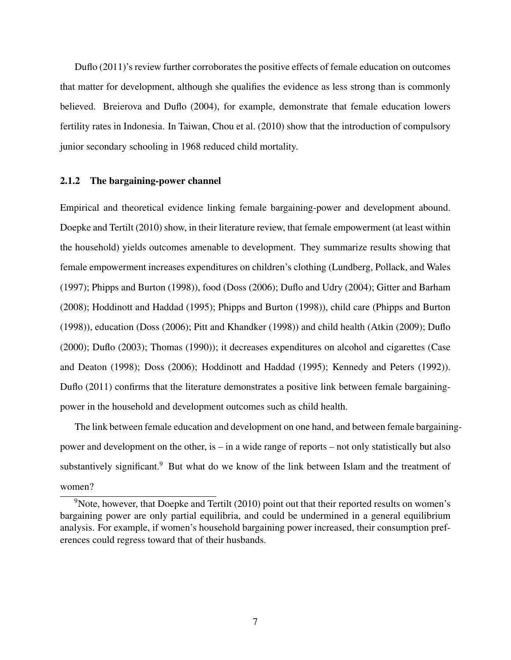Duflo (2011)'s review further corroborates the positive effects of female education on outcomes that matter for development, although she qualifies the evidence as less strong than is commonly believed. Breierova and Duflo (2004), for example, demonstrate that female education lowers fertility rates in Indonesia. In Taiwan, Chou et al. (2010) show that the introduction of compulsory junior secondary schooling in 1968 reduced child mortality.

#### 2.1.2 The bargaining-power channel

Empirical and theoretical evidence linking female bargaining-power and development abound. Doepke and Tertilt (2010) show, in their literature review, that female empowerment (at least within the household) yields outcomes amenable to development. They summarize results showing that female empowerment increases expenditures on children's clothing (Lundberg, Pollack, and Wales (1997); Phipps and Burton (1998)), food (Doss (2006); Duflo and Udry (2004); Gitter and Barham (2008); Hoddinott and Haddad (1995); Phipps and Burton (1998)), child care (Phipps and Burton (1998)), education (Doss (2006); Pitt and Khandker (1998)) and child health (Atkin (2009); Duflo (2000); Duflo (2003); Thomas (1990)); it decreases expenditures on alcohol and cigarettes (Case and Deaton (1998); Doss (2006); Hoddinott and Haddad (1995); Kennedy and Peters (1992)). Duflo (2011) confirms that the literature demonstrates a positive link between female bargainingpower in the household and development outcomes such as child health.

The link between female education and development on one hand, and between female bargainingpower and development on the other, is – in a wide range of reports – not only statistically but also substantively significant.<sup>9</sup> But what do we know of the link between Islam and the treatment of women?

 $9$ Note, however, that Doepke and Tertilt (2010) point out that their reported results on women's bargaining power are only partial equilibria, and could be undermined in a general equilibrium analysis. For example, if women's household bargaining power increased, their consumption preferences could regress toward that of their husbands.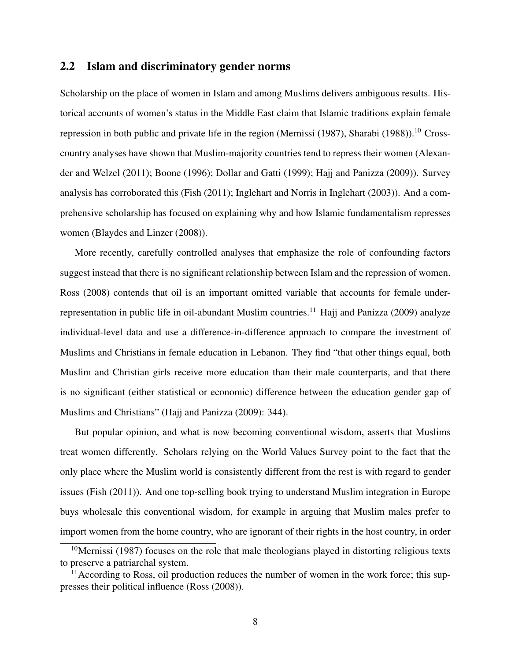#### 2.2 Islam and discriminatory gender norms

Scholarship on the place of women in Islam and among Muslims delivers ambiguous results. Historical accounts of women's status in the Middle East claim that Islamic traditions explain female repression in both public and private life in the region (Mernissi  $(1987)$ , Sharabi  $(1988)$ ).<sup>10</sup> Crosscountry analyses have shown that Muslim-majority countries tend to repress their women (Alexander and Welzel (2011); Boone (1996); Dollar and Gatti (1999); Hajj and Panizza (2009)). Survey analysis has corroborated this (Fish (2011); Inglehart and Norris in Inglehart (2003)). And a comprehensive scholarship has focused on explaining why and how Islamic fundamentalism represses women (Blaydes and Linzer (2008)).

More recently, carefully controlled analyses that emphasize the role of confounding factors suggest instead that there is no significant relationship between Islam and the repression of women. Ross (2008) contends that oil is an important omitted variable that accounts for female underrepresentation in public life in oil-abundant Muslim countries.<sup>11</sup> Hajj and Panizza (2009) analyze individual-level data and use a difference-in-difference approach to compare the investment of Muslims and Christians in female education in Lebanon. They find "that other things equal, both Muslim and Christian girls receive more education than their male counterparts, and that there is no significant (either statistical or economic) difference between the education gender gap of Muslims and Christians" (Hajj and Panizza (2009): 344).

But popular opinion, and what is now becoming conventional wisdom, asserts that Muslims treat women differently. Scholars relying on the World Values Survey point to the fact that the only place where the Muslim world is consistently different from the rest is with regard to gender issues (Fish (2011)). And one top-selling book trying to understand Muslim integration in Europe buys wholesale this conventional wisdom, for example in arguing that Muslim males prefer to import women from the home country, who are ignorant of their rights in the host country, in order

<sup>&</sup>lt;sup>10</sup>Mernissi (1987) focuses on the role that male theologians played in distorting religious texts to preserve a patriarchal system.

 $11$ According to Ross, oil production reduces the number of women in the work force; this suppresses their political influence (Ross (2008)).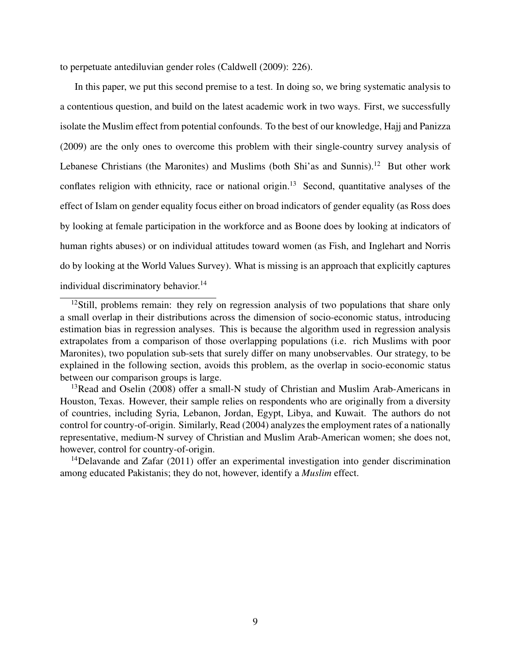to perpetuate antediluvian gender roles (Caldwell (2009): 226).

In this paper, we put this second premise to a test. In doing so, we bring systematic analysis to a contentious question, and build on the latest academic work in two ways. First, we successfully isolate the Muslim effect from potential confounds. To the best of our knowledge, Hajj and Panizza (2009) are the only ones to overcome this problem with their single-country survey analysis of Lebanese Christians (the Maronites) and Muslims (both Shi'as and Sunnis).<sup>12</sup> But other work conflates religion with ethnicity, race or national origin.<sup>13</sup> Second, quantitative analyses of the effect of Islam on gender equality focus either on broad indicators of gender equality (as Ross does by looking at female participation in the workforce and as Boone does by looking at indicators of human rights abuses) or on individual attitudes toward women (as Fish, and Inglehart and Norris do by looking at the World Values Survey). What is missing is an approach that explicitly captures individual discriminatory behavior.<sup>14</sup>

<sup>14</sup>Delavande and Zafar  $(2011)$  offer an experimental investigation into gender discrimination among educated Pakistanis; they do not, however, identify a *Muslim* effect.

 $12$ Still, problems remain: they rely on regression analysis of two populations that share only a small overlap in their distributions across the dimension of socio-economic status, introducing estimation bias in regression analyses. This is because the algorithm used in regression analysis extrapolates from a comparison of those overlapping populations (i.e. rich Muslims with poor Maronites), two population sub-sets that surely differ on many unobservables. Our strategy, to be explained in the following section, avoids this problem, as the overlap in socio-economic status between our comparison groups is large.

<sup>&</sup>lt;sup>13</sup>Read and Oselin (2008) offer a small-N study of Christian and Muslim Arab-Americans in Houston, Texas. However, their sample relies on respondents who are originally from a diversity of countries, including Syria, Lebanon, Jordan, Egypt, Libya, and Kuwait. The authors do not control for country-of-origin. Similarly, Read (2004) analyzes the employment rates of a nationally representative, medium-N survey of Christian and Muslim Arab-American women; she does not, however, control for country-of-origin.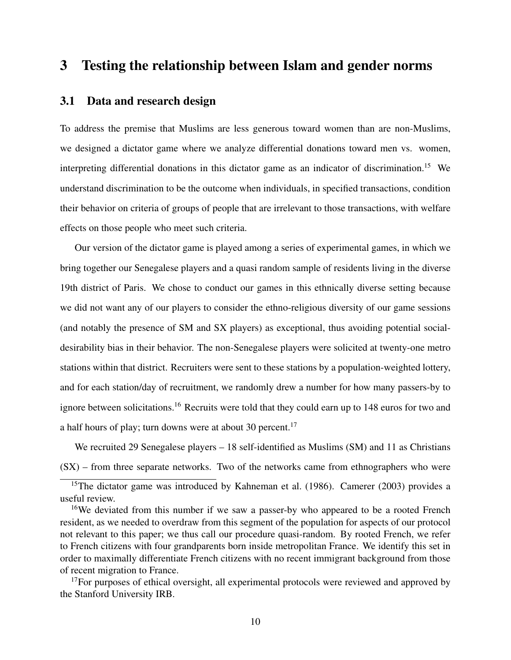### 3 Testing the relationship between Islam and gender norms

#### 3.1 Data and research design

To address the premise that Muslims are less generous toward women than are non-Muslims, we designed a dictator game where we analyze differential donations toward men vs. women, interpreting differential donations in this dictator game as an indicator of discrimination.<sup>15</sup> We understand discrimination to be the outcome when individuals, in specified transactions, condition their behavior on criteria of groups of people that are irrelevant to those transactions, with welfare effects on those people who meet such criteria.

Our version of the dictator game is played among a series of experimental games, in which we bring together our Senegalese players and a quasi random sample of residents living in the diverse 19th district of Paris. We chose to conduct our games in this ethnically diverse setting because we did not want any of our players to consider the ethno-religious diversity of our game sessions (and notably the presence of SM and SX players) as exceptional, thus avoiding potential socialdesirability bias in their behavior. The non-Senegalese players were solicited at twenty-one metro stations within that district. Recruiters were sent to these stations by a population-weighted lottery, and for each station/day of recruitment, we randomly drew a number for how many passers-by to ignore between solicitations.<sup>16</sup> Recruits were told that they could earn up to 148 euros for two and a half hours of play; turn downs were at about 30 percent.<sup>17</sup>

We recruited 29 Senegalese players – 18 self-identified as Muslims (SM) and 11 as Christians (SX) – from three separate networks. Two of the networks came from ethnographers who were

 $17$  For purposes of ethical oversight, all experimental protocols were reviewed and approved by the Stanford University IRB.

<sup>&</sup>lt;sup>15</sup>The dictator game was introduced by Kahneman et al. (1986). Camerer (2003) provides a useful review.

<sup>&</sup>lt;sup>16</sup>We deviated from this number if we saw a passer-by who appeared to be a rooted French resident, as we needed to overdraw from this segment of the population for aspects of our protocol not relevant to this paper; we thus call our procedure quasi-random. By rooted French, we refer to French citizens with four grandparents born inside metropolitan France. We identify this set in order to maximally differentiate French citizens with no recent immigrant background from those of recent migration to France.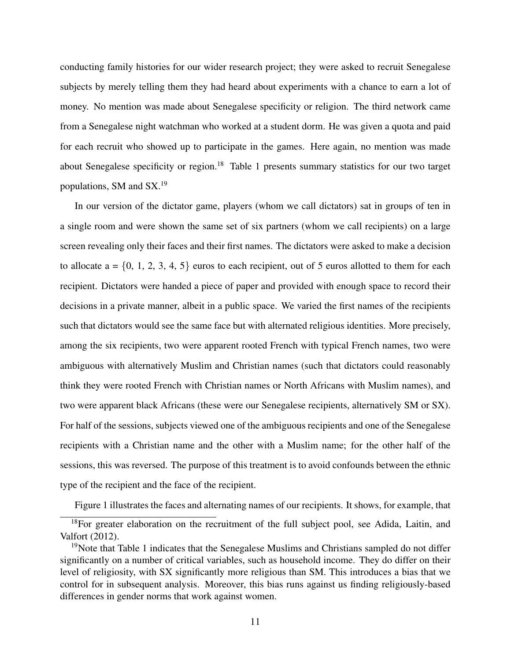conducting family histories for our wider research project; they were asked to recruit Senegalese subjects by merely telling them they had heard about experiments with a chance to earn a lot of money. No mention was made about Senegalese specificity or religion. The third network came from a Senegalese night watchman who worked at a student dorm. He was given a quota and paid for each recruit who showed up to participate in the games. Here again, no mention was made about Senegalese specificity or region.<sup>18</sup> Table 1 presents summary statistics for our two target populations, SM and SX.19

In our version of the dictator game, players (whom we call dictators) sat in groups of ten in a single room and were shown the same set of six partners (whom we call recipients) on a large screen revealing only their faces and their first names. The dictators were asked to make a decision to allocate  $a = \{0, 1, 2, 3, 4, 5\}$  euros to each recipient, out of 5 euros allotted to them for each recipient. Dictators were handed a piece of paper and provided with enough space to record their decisions in a private manner, albeit in a public space. We varied the first names of the recipients such that dictators would see the same face but with alternated religious identities. More precisely, among the six recipients, two were apparent rooted French with typical French names, two were ambiguous with alternatively Muslim and Christian names (such that dictators could reasonably think they were rooted French with Christian names or North Africans with Muslim names), and two were apparent black Africans (these were our Senegalese recipients, alternatively SM or SX). For half of the sessions, subjects viewed one of the ambiguous recipients and one of the Senegalese recipients with a Christian name and the other with a Muslim name; for the other half of the sessions, this was reversed. The purpose of this treatment is to avoid confounds between the ethnic type of the recipient and the face of the recipient.

Figure 1 illustrates the faces and alternating names of our recipients. It shows, for example, that

<sup>&</sup>lt;sup>18</sup>For greater elaboration on the recruitment of the full subject pool, see Adida, Laitin, and Valfort (2012).

<sup>&</sup>lt;sup>19</sup>Note that Table 1 indicates that the Senegalese Muslims and Christians sampled do not differ significantly on a number of critical variables, such as household income. They do differ on their level of religiosity, with SX significantly more religious than SM. This introduces a bias that we control for in subsequent analysis. Moreover, this bias runs against us finding religiously-based differences in gender norms that work against women.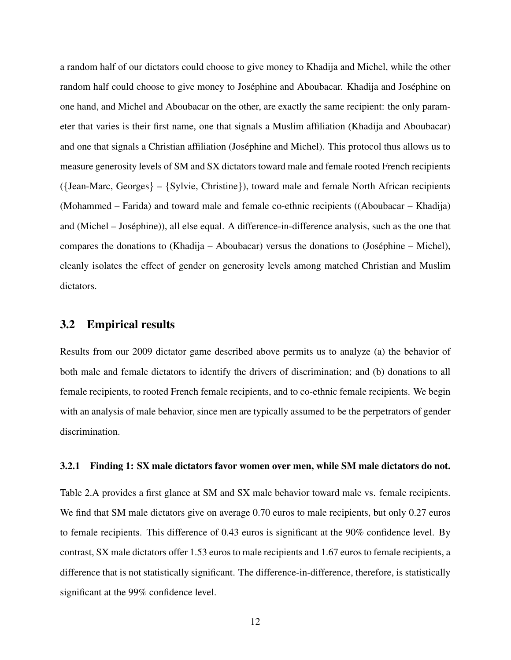a random half of our dictators could choose to give money to Khadija and Michel, while the other random half could choose to give money to Joséphine and Aboubacar. Khadija and Joséphine on one hand, and Michel and Aboubacar on the other, are exactly the same recipient: the only parameter that varies is their first name, one that signals a Muslim affiliation (Khadija and Aboubacar) and one that signals a Christian affiliation (Joséphine and Michel). This protocol thus allows us to measure generosity levels of SM and SX dictators toward male and female rooted French recipients ({Jean-Marc, Georges} – {Sylvie, Christine}), toward male and female North African recipients (Mohammed – Farida) and toward male and female co-ethnic recipients ((Aboubacar – Khadija) and (Michel – Josephine)), all else equal. A difference-in-difference analysis, such as the one that ´ compares the donations to (Khadija – Aboubacar) versus the donations to (Josephine – Michel), ´ cleanly isolates the effect of gender on generosity levels among matched Christian and Muslim dictators.

#### 3.2 Empirical results

Results from our 2009 dictator game described above permits us to analyze (a) the behavior of both male and female dictators to identify the drivers of discrimination; and (b) donations to all female recipients, to rooted French female recipients, and to co-ethnic female recipients. We begin with an analysis of male behavior, since men are typically assumed to be the perpetrators of gender discrimination.

#### 3.2.1 Finding 1: SX male dictators favor women over men, while SM male dictators do not.

Table 2.A provides a first glance at SM and SX male behavior toward male vs. female recipients. We find that SM male dictators give on average 0.70 euros to male recipients, but only 0.27 euros to female recipients. This difference of 0.43 euros is significant at the 90% confidence level. By contrast, SX male dictators offer 1.53 euros to male recipients and 1.67 euros to female recipients, a difference that is not statistically significant. The difference-in-difference, therefore, is statistically significant at the 99% confidence level.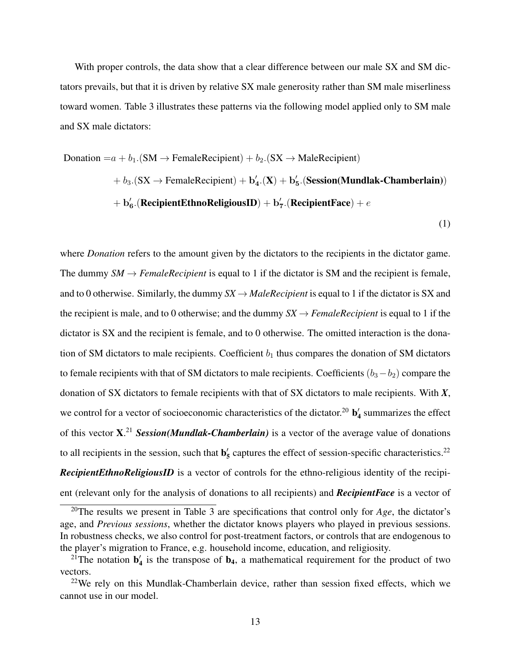With proper controls, the data show that a clear difference between our male SX and SM dictators prevails, but that it is driven by relative SX male generosity rather than SM male miserliness toward women. Table 3 illustrates these patterns via the following model applied only to SM male and SX male dictators:

Donation = 
$$
a + b_1
$$
. (SM  $\rightarrow$  FemaleRecipient) +  $b_2$ . (SX  $\rightarrow$  MaleRecipient)

\n $+ b_3$ . (SX  $\rightarrow$  FemaleRecipient) +  $b'_4$ . (X) +  $b'_5$ . (Session(Mundlak-Chamberlain))

\n $+ b'_6$ . (RecipientEthnoReligiousID) +  $b'_7$ . (RecipientFace) +  $e$ 

\n(1)

where *Donation* refers to the amount given by the dictators to the recipients in the dictator game. The dummy  $SM \rightarrow FemaleRecipient$  is equal to 1 if the dictator is SM and the recipient is female, and to 0 otherwise. Similarly, the dummy  $SX \rightarrow MaleRecipient$  is equal to 1 if the dictator is SX and the recipient is male, and to 0 otherwise; and the dummy  $SX \rightarrow FemaleRecipient$  is equal to 1 if the dictator is SX and the recipient is female, and to 0 otherwise. The omitted interaction is the donation of SM dictators to male recipients. Coefficient  $b_1$  thus compares the donation of SM dictators to female recipients with that of SM dictators to male recipients. Coefficients  $(b_3 - b_2)$  compare the donation of SX dictators to female recipients with that of SX dictators to male recipients. With *X*, we control for a vector of socioeconomic characteristics of the dictator.<sup>20</sup>  $\mathbf{b}'_4$  summarizes the effect of this vector X. <sup>21</sup> *Session(Mundlak-Chamberlain)* is a vector of the average value of donations to all recipients in the session, such that  $\mathbf{b}'_5$  captures the effect of session-specific characteristics.<sup>22</sup> **RecipientEthnoReligiousID** is a vector of controls for the ethno-religious identity of the recipient (relevant only for the analysis of donations to all recipients) and *RecipientFace* is a vector of

<sup>20</sup>The results we present in Table 3 are specifications that control only for *Age*, the dictator's age, and *Previous sessions*, whether the dictator knows players who played in previous sessions. In robustness checks, we also control for post-treatment factors, or controls that are endogenous to the player's migration to France, e.g. household income, education, and religiosity.

<sup>&</sup>lt;sup>21</sup>The notation  $\mathbf{b}'_4$  is the transpose of  $\mathbf{b}_4$ , a mathematical requirement for the product of two vectors.

 $22$ We rely on this Mundlak-Chamberlain device, rather than session fixed effects, which we cannot use in our model.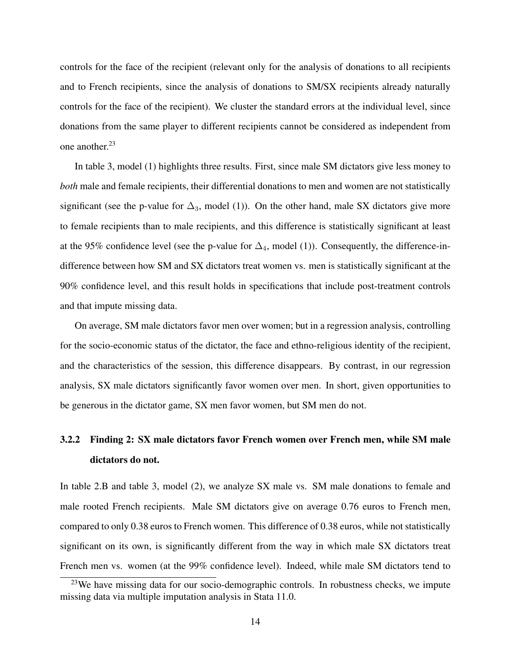controls for the face of the recipient (relevant only for the analysis of donations to all recipients and to French recipients, since the analysis of donations to SM/SX recipients already naturally controls for the face of the recipient). We cluster the standard errors at the individual level, since donations from the same player to different recipients cannot be considered as independent from one another. $23$ 

In table 3, model (1) highlights three results. First, since male SM dictators give less money to *both* male and female recipients, their differential donations to men and women are not statistically significant (see the p-value for  $\Delta_3$ , model (1)). On the other hand, male SX dictators give more to female recipients than to male recipients, and this difference is statistically significant at least at the 95% confidence level (see the p-value for  $\Delta_4$ , model (1)). Consequently, the difference-indifference between how SM and SX dictators treat women vs. men is statistically significant at the 90% confidence level, and this result holds in specifications that include post-treatment controls and that impute missing data.

On average, SM male dictators favor men over women; but in a regression analysis, controlling for the socio-economic status of the dictator, the face and ethno-religious identity of the recipient, and the characteristics of the session, this difference disappears. By contrast, in our regression analysis, SX male dictators significantly favor women over men. In short, given opportunities to be generous in the dictator game, SX men favor women, but SM men do not.

# 3.2.2 Finding 2: SX male dictators favor French women over French men, while SM male dictators do not.

In table 2.B and table 3, model (2), we analyze SX male vs. SM male donations to female and male rooted French recipients. Male SM dictators give on average 0.76 euros to French men, compared to only 0.38 euros to French women. This difference of 0.38 euros, while not statistically significant on its own, is significantly different from the way in which male SX dictators treat French men vs. women (at the 99% confidence level). Indeed, while male SM dictators tend to

 $23$ We have missing data for our socio-demographic controls. In robustness checks, we impute missing data via multiple imputation analysis in Stata 11.0.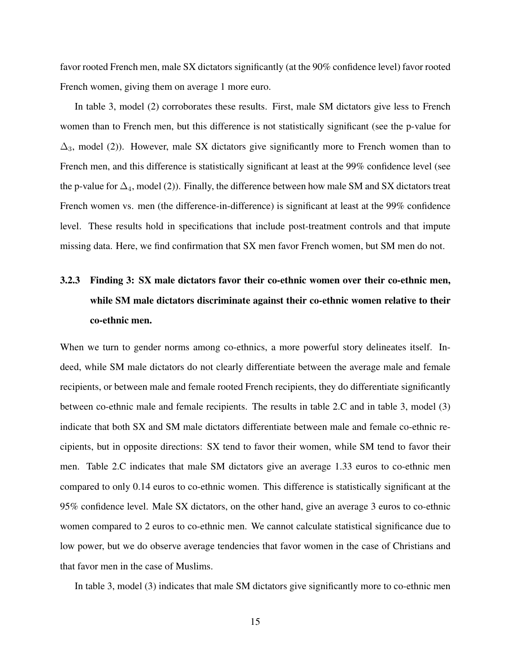favor rooted French men, male SX dictators significantly (at the 90% confidence level) favor rooted French women, giving them on average 1 more euro.

In table 3, model (2) corroborates these results. First, male SM dictators give less to French women than to French men, but this difference is not statistically significant (see the p-value for  $\Delta_3$ , model (2)). However, male SX dictators give significantly more to French women than to French men, and this difference is statistically significant at least at the 99% confidence level (see the p-value for  $\Delta_4$ , model (2)). Finally, the difference between how male SM and SX dictators treat French women vs. men (the difference-in-difference) is significant at least at the 99% confidence level. These results hold in specifications that include post-treatment controls and that impute missing data. Here, we find confirmation that SX men favor French women, but SM men do not.

# 3.2.3 Finding 3: SX male dictators favor their co-ethnic women over their co-ethnic men, while SM male dictators discriminate against their co-ethnic women relative to their co-ethnic men.

When we turn to gender norms among co-ethnics, a more powerful story delineates itself. Indeed, while SM male dictators do not clearly differentiate between the average male and female recipients, or between male and female rooted French recipients, they do differentiate significantly between co-ethnic male and female recipients. The results in table 2.C and in table 3, model (3) indicate that both SX and SM male dictators differentiate between male and female co-ethnic recipients, but in opposite directions: SX tend to favor their women, while SM tend to favor their men. Table 2.C indicates that male SM dictators give an average 1.33 euros to co-ethnic men compared to only 0.14 euros to co-ethnic women. This difference is statistically significant at the 95% confidence level. Male SX dictators, on the other hand, give an average 3 euros to co-ethnic women compared to 2 euros to co-ethnic men. We cannot calculate statistical significance due to low power, but we do observe average tendencies that favor women in the case of Christians and that favor men in the case of Muslims.

In table 3, model (3) indicates that male SM dictators give significantly more to co-ethnic men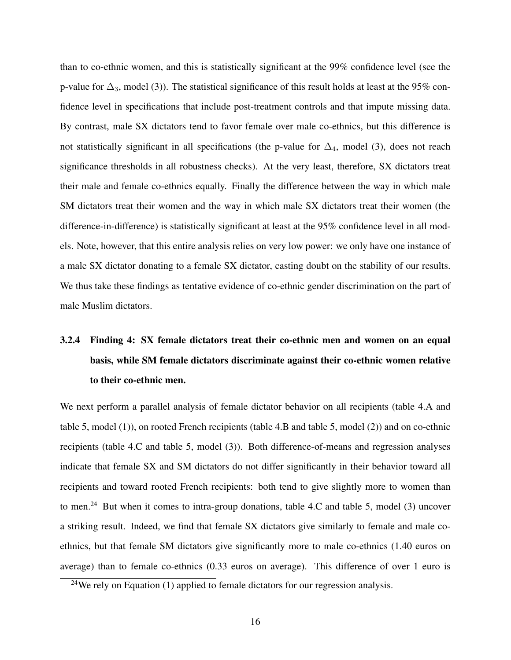than to co-ethnic women, and this is statistically significant at the 99% confidence level (see the p-value for  $\Delta_3$ , model (3)). The statistical significance of this result holds at least at the 95% confidence level in specifications that include post-treatment controls and that impute missing data. By contrast, male SX dictators tend to favor female over male co-ethnics, but this difference is not statistically significant in all specifications (the p-value for  $\Delta_4$ , model (3), does not reach significance thresholds in all robustness checks). At the very least, therefore, SX dictators treat their male and female co-ethnics equally. Finally the difference between the way in which male SM dictators treat their women and the way in which male SX dictators treat their women (the difference-in-difference) is statistically significant at least at the 95% confidence level in all models. Note, however, that this entire analysis relies on very low power: we only have one instance of a male SX dictator donating to a female SX dictator, casting doubt on the stability of our results. We thus take these findings as tentative evidence of co-ethnic gender discrimination on the part of male Muslim dictators.

# 3.2.4 Finding 4: SX female dictators treat their co-ethnic men and women on an equal basis, while SM female dictators discriminate against their co-ethnic women relative to their co-ethnic men.

We next perform a parallel analysis of female dictator behavior on all recipients (table 4.A and table 5, model (1)), on rooted French recipients (table 4.B and table 5, model (2)) and on co-ethnic recipients (table 4.C and table 5, model (3)). Both difference-of-means and regression analyses indicate that female SX and SM dictators do not differ significantly in their behavior toward all recipients and toward rooted French recipients: both tend to give slightly more to women than to men.<sup>24</sup> But when it comes to intra-group donations, table 4.C and table 5, model (3) uncover a striking result. Indeed, we find that female SX dictators give similarly to female and male coethnics, but that female SM dictators give significantly more to male co-ethnics (1.40 euros on average) than to female co-ethnics (0.33 euros on average). This difference of over 1 euro is

 $24$ We rely on Equation (1) applied to female dictators for our regression analysis.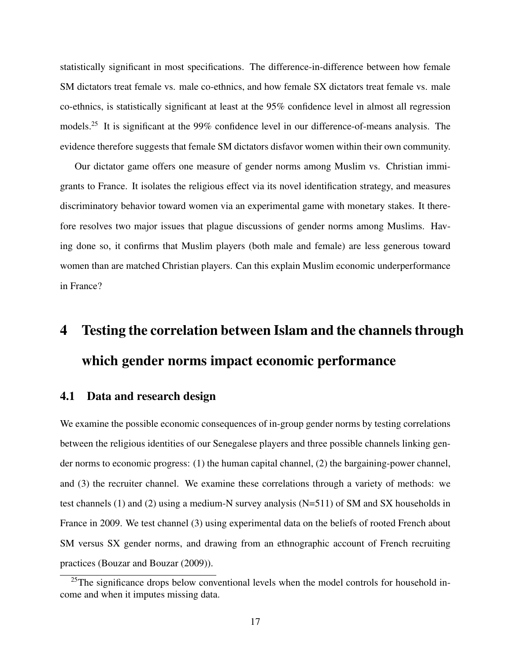statistically significant in most specifications. The difference-in-difference between how female SM dictators treat female vs. male co-ethnics, and how female SX dictators treat female vs. male co-ethnics, is statistically significant at least at the 95% confidence level in almost all regression models.25 It is significant at the 99% confidence level in our difference-of-means analysis. The evidence therefore suggests that female SM dictators disfavor women within their own community.

Our dictator game offers one measure of gender norms among Muslim vs. Christian immigrants to France. It isolates the religious effect via its novel identification strategy, and measures discriminatory behavior toward women via an experimental game with monetary stakes. It therefore resolves two major issues that plague discussions of gender norms among Muslims. Having done so, it confirms that Muslim players (both male and female) are less generous toward women than are matched Christian players. Can this explain Muslim economic underperformance in France?

# 4 Testing the correlation between Islam and the channels through which gender norms impact economic performance

#### 4.1 Data and research design

We examine the possible economic consequences of in-group gender norms by testing correlations between the religious identities of our Senegalese players and three possible channels linking gender norms to economic progress: (1) the human capital channel, (2) the bargaining-power channel, and (3) the recruiter channel. We examine these correlations through a variety of methods: we test channels (1) and (2) using a medium-N survey analysis (N=511) of SM and SX households in France in 2009. We test channel (3) using experimental data on the beliefs of rooted French about SM versus SX gender norms, and drawing from an ethnographic account of French recruiting practices (Bouzar and Bouzar (2009)).

 $25$ The significance drops below conventional levels when the model controls for household income and when it imputes missing data.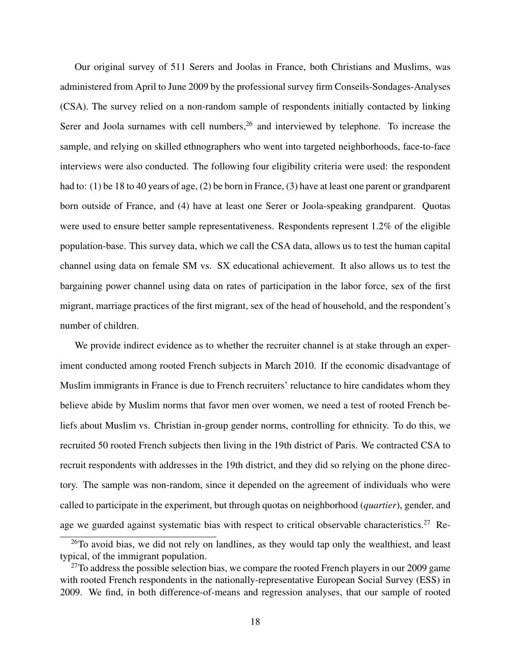Our original survey of 511 Serers and Joolas in France, both Christians and Muslims, was administered from April to June 2009 by the professional survey firm Conseils-Sondages-Analyses (CSA). The survey relied on a non-random sample of respondents initially contacted by linking Serer and Joola surnames with cell numbers,  $26$  and interviewed by telephone. To increase the sample, and relying on skilled ethnographers who went into targeted neighborhoods, face-to-face interviews were also conducted. The following four eligibility criteria were used: the respondent had to: (1) be 18 to 40 years of age, (2) be born in France, (3) have at least one parent or grandparent born outside of France, and (4) have at least one Serer or Joola-speaking grandparent. Quotas were used to ensure better sample representativeness. Respondents represent 1.2% of the eligible population-base. This survey data, which we call the CSA data, allows us to test the human capital channel using data on female SM vs. SX educational achievement. It also allows us to test the bargaining power channel using data on rates of participation in the labor force, sex of the first migrant, marriage practices of the first migrant, sex of the head of household, and the respondent's number of children.

We provide indirect evidence as to whether the recruiter channel is at stake through an experiment conducted among rooted French subjects in March 2010. If the economic disadvantage of Muslim immigrants in France is due to French recruiters' reluctance to hire candidates whom they believe abide by Muslim norms that favor men over women, we need a test of rooted French beliefs about Muslim vs. Christian in-group gender norms, controlling for ethnicity. To do this, we recruited 50 rooted French subjects then living in the 19th district of Paris. We contracted CSA to recruit respondents with addresses in the 19th district, and they did so relying on the phone directory. The sample was non-random, since it depended on the agreement of individuals who were called to participate in the experiment, but through quotas on neighborhood (*quartier*), gender, and age we guarded against systematic bias with respect to critical observable characteristics.<sup>27</sup> Re-

<sup>&</sup>lt;sup>26</sup>To avoid bias, we did not rely on landlines, as they would tap only the wealthiest, and least typical, of the immigrant population.

 $27$ To address the possible selection bias, we compare the rooted French players in our 2009 game with rooted French respondents in the nationally-representative European Social Survey (ESS) in 2009. We find, in both difference-of-means and regression analyses, that our sample of rooted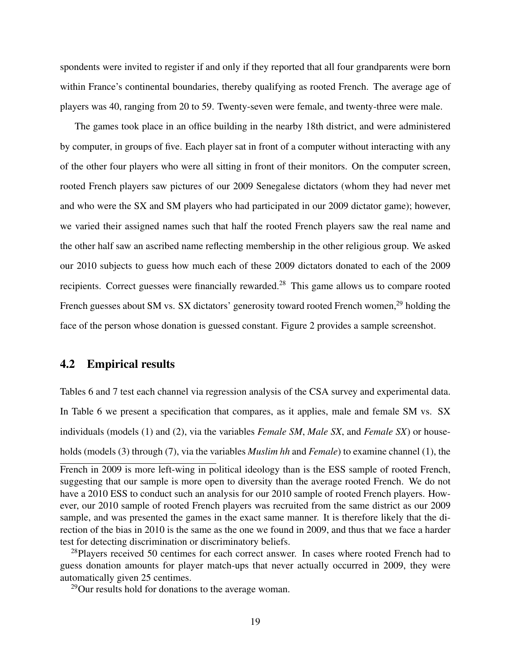spondents were invited to register if and only if they reported that all four grandparents were born within France's continental boundaries, thereby qualifying as rooted French. The average age of players was 40, ranging from 20 to 59. Twenty-seven were female, and twenty-three were male.

The games took place in an office building in the nearby 18th district, and were administered by computer, in groups of five. Each player sat in front of a computer without interacting with any of the other four players who were all sitting in front of their monitors. On the computer screen, rooted French players saw pictures of our 2009 Senegalese dictators (whom they had never met and who were the SX and SM players who had participated in our 2009 dictator game); however, we varied their assigned names such that half the rooted French players saw the real name and the other half saw an ascribed name reflecting membership in the other religious group. We asked our 2010 subjects to guess how much each of these 2009 dictators donated to each of the 2009 recipients. Correct guesses were financially rewarded.28 This game allows us to compare rooted French guesses about SM vs. SX dictators' generosity toward rooted French women,<sup>29</sup> holding the face of the person whose donation is guessed constant. Figure 2 provides a sample screenshot.

#### 4.2 Empirical results

Tables 6 and 7 test each channel via regression analysis of the CSA survey and experimental data. In Table 6 we present a specification that compares, as it applies, male and female SM vs. SX individuals (models (1) and (2), via the variables *Female SM*, *Male SX*, and *Female SX*) or households (models (3) through (7), via the variables *Muslim hh* and *Female*) to examine channel (1), the

29Our results hold for donations to the average woman.

French in 2009 is more left-wing in political ideology than is the ESS sample of rooted French, suggesting that our sample is more open to diversity than the average rooted French. We do not have a 2010 ESS to conduct such an analysis for our 2010 sample of rooted French players. However, our 2010 sample of rooted French players was recruited from the same district as our 2009 sample, and was presented the games in the exact same manner. It is therefore likely that the direction of the bias in 2010 is the same as the one we found in 2009, and thus that we face a harder test for detecting discrimination or discriminatory beliefs.

 $^{28}$ Players received 50 centimes for each correct answer. In cases where rooted French had to guess donation amounts for player match-ups that never actually occurred in 2009, they were automatically given 25 centimes.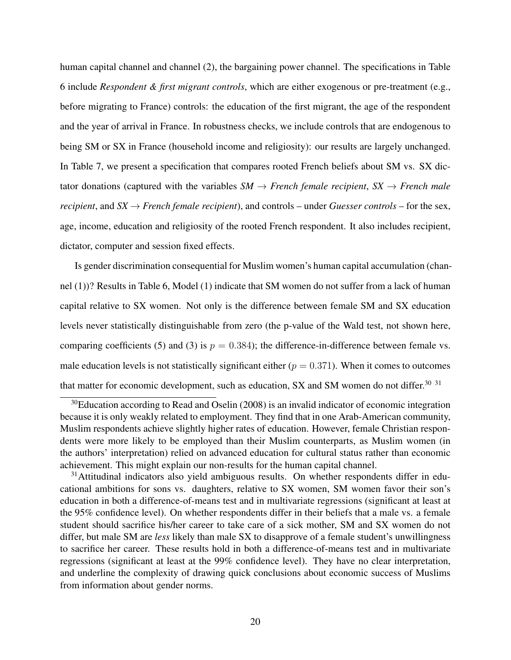human capital channel and channel (2), the bargaining power channel. The specifications in Table 6 include *Respondent & first migrant controls*, which are either exogenous or pre-treatment (e.g., before migrating to France) controls: the education of the first migrant, the age of the respondent and the year of arrival in France. In robustness checks, we include controls that are endogenous to being SM or SX in France (household income and religiosity): our results are largely unchanged. In Table 7, we present a specification that compares rooted French beliefs about SM vs. SX dictator donations (captured with the variables  $SM \rightarrow French female recipient$ ,  $SX \rightarrow French male$ *recipient*, and  $SX \rightarrow$  *French female recipient*), and controls – under *Guesser controls* – for the sex, age, income, education and religiosity of the rooted French respondent. It also includes recipient, dictator, computer and session fixed effects.

Is gender discrimination consequential for Muslim women's human capital accumulation (channel (1))? Results in Table 6, Model (1) indicate that SM women do not suffer from a lack of human capital relative to SX women. Not only is the difference between female SM and SX education levels never statistically distinguishable from zero (the p-value of the Wald test, not shown here, comparing coefficients (5) and (3) is  $p = 0.384$ ; the difference-in-difference between female vs. male education levels is not statistically significant either  $(p = 0.371)$ . When it comes to outcomes that matter for economic development, such as education, SX and SM women do not differ.<sup>30</sup>  $31$ 

 $30E$ ducation according to Read and Oselin (2008) is an invalid indicator of economic integration because it is only weakly related to employment. They find that in one Arab-American community, Muslim respondents achieve slightly higher rates of education. However, female Christian respondents were more likely to be employed than their Muslim counterparts, as Muslim women (in the authors' interpretation) relied on advanced education for cultural status rather than economic achievement. This might explain our non-results for the human capital channel.

<sup>&</sup>lt;sup>31</sup>Attitudinal indicators also yield ambiguous results. On whether respondents differ in educational ambitions for sons vs. daughters, relative to SX women, SM women favor their son's education in both a difference-of-means test and in multivariate regressions (significant at least at the 95% confidence level). On whether respondents differ in their beliefs that a male vs. a female student should sacrifice his/her career to take care of a sick mother, SM and SX women do not differ, but male SM are *less* likely than male SX to disapprove of a female student's unwillingness to sacrifice her career. These results hold in both a difference-of-means test and in multivariate regressions (significant at least at the 99% confidence level). They have no clear interpretation, and underline the complexity of drawing quick conclusions about economic success of Muslims from information about gender norms.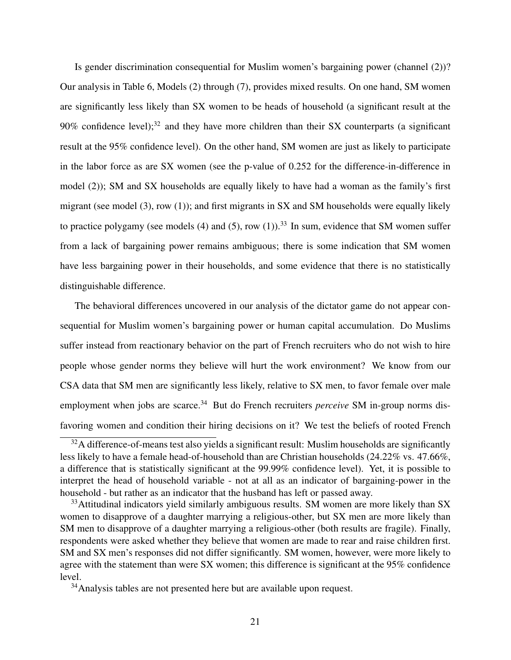Is gender discrimination consequential for Muslim women's bargaining power (channel (2))? Our analysis in Table 6, Models (2) through (7), provides mixed results. On one hand, SM women are significantly less likely than SX women to be heads of household (a significant result at the 90% confidence level);<sup>32</sup> and they have more children than their SX counterparts (a significant result at the 95% confidence level). On the other hand, SM women are just as likely to participate in the labor force as are SX women (see the p-value of 0.252 for the difference-in-difference in model (2)); SM and SX households are equally likely to have had a woman as the family's first migrant (see model (3), row (1)); and first migrants in SX and SM households were equally likely to practice polygamy (see models (4) and (5), row (1)).<sup>33</sup> In sum, evidence that SM women suffer from a lack of bargaining power remains ambiguous; there is some indication that SM women have less bargaining power in their households, and some evidence that there is no statistically distinguishable difference.

The behavioral differences uncovered in our analysis of the dictator game do not appear consequential for Muslim women's bargaining power or human capital accumulation. Do Muslims suffer instead from reactionary behavior on the part of French recruiters who do not wish to hire people whose gender norms they believe will hurt the work environment? We know from our CSA data that SM men are significantly less likely, relative to SX men, to favor female over male employment when jobs are scarce.<sup>34</sup> But do French recruiters *perceive* SM in-group norms disfavoring women and condition their hiring decisions on it? We test the beliefs of rooted French

<sup>&</sup>lt;sup>32</sup>A difference-of-means test also yields a significant result: Muslim households are significantly less likely to have a female head-of-household than are Christian households (24.22% vs. 47.66%, a difference that is statistically significant at the 99.99% confidence level). Yet, it is possible to interpret the head of household variable - not at all as an indicator of bargaining-power in the household - but rather as an indicator that the husband has left or passed away.

 $33$ Attitudinal indicators yield similarly ambiguous results. SM women are more likely than SX women to disapprove of a daughter marrying a religious-other, but SX men are more likely than SM men to disapprove of a daughter marrying a religious-other (both results are fragile). Finally, respondents were asked whether they believe that women are made to rear and raise children first. SM and SX men's responses did not differ significantly. SM women, however, were more likely to agree with the statement than were SX women; this difference is significant at the 95% confidence level.

<sup>&</sup>lt;sup>34</sup>Analysis tables are not presented here but are available upon request.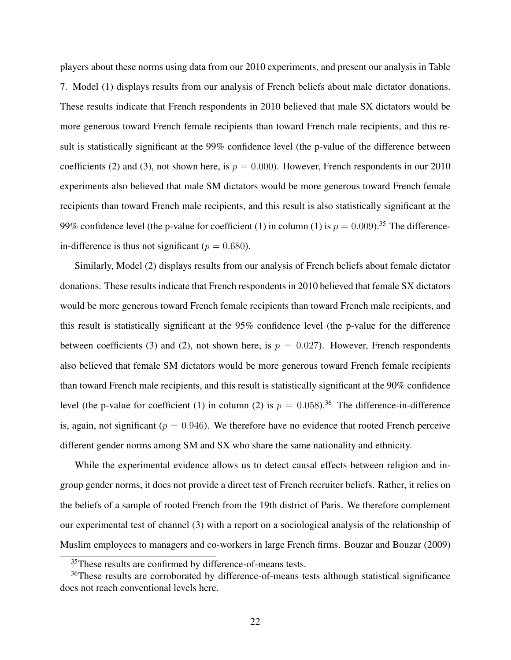players about these norms using data from our 2010 experiments, and present our analysis in Table 7. Model (1) displays results from our analysis of French beliefs about male dictator donations. These results indicate that French respondents in 2010 believed that male SX dictators would be more generous toward French female recipients than toward French male recipients, and this result is statistically significant at the 99% confidence level (the p-value of the difference between coefficients (2) and (3), not shown here, is  $p = 0.000$ ). However, French respondents in our 2010 experiments also believed that male SM dictators would be more generous toward French female recipients than toward French male recipients, and this result is also statistically significant at the 99% confidence level (the p-value for coefficient (1) in column (1) is  $p = 0.009$ .<sup>35</sup> The differencein-difference is thus not significant ( $p = 0.680$ ).

Similarly, Model (2) displays results from our analysis of French beliefs about female dictator donations. These results indicate that French respondents in 2010 believed that female SX dictators would be more generous toward French female recipients than toward French male recipients, and this result is statistically significant at the 95% confidence level (the p-value for the difference between coefficients (3) and (2), not shown here, is  $p = 0.027$ ). However, French respondents also believed that female SM dictators would be more generous toward French female recipients than toward French male recipients, and this result is statistically significant at the 90% confidence level (the p-value for coefficient (1) in column (2) is  $p = 0.058$ ).<sup>36</sup> The difference-in-difference is, again, not significant ( $p = 0.946$ ). We therefore have no evidence that rooted French perceive different gender norms among SM and SX who share the same nationality and ethnicity.

While the experimental evidence allows us to detect causal effects between religion and ingroup gender norms, it does not provide a direct test of French recruiter beliefs. Rather, it relies on the beliefs of a sample of rooted French from the 19th district of Paris. We therefore complement our experimental test of channel (3) with a report on a sociological analysis of the relationship of Muslim employees to managers and co-workers in large French firms. Bouzar and Bouzar (2009)

<sup>&</sup>lt;sup>35</sup>These results are confirmed by difference-of-means tests.

<sup>&</sup>lt;sup>36</sup>These results are corroborated by difference-of-means tests although statistical significance does not reach conventional levels here.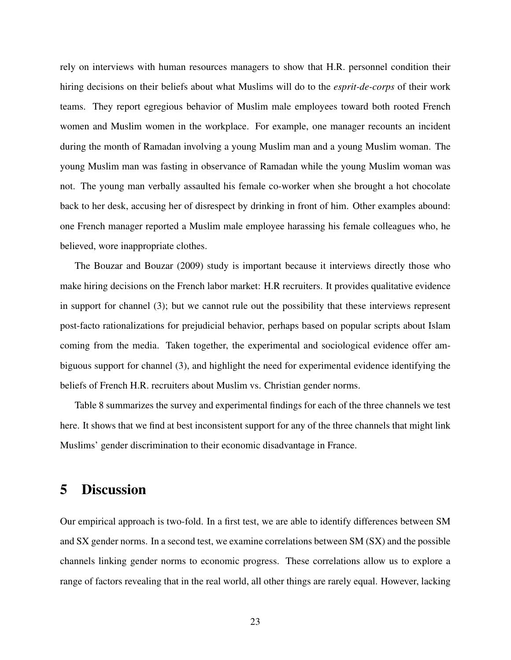rely on interviews with human resources managers to show that H.R. personnel condition their hiring decisions on their beliefs about what Muslims will do to the *esprit-de-corps* of their work teams. They report egregious behavior of Muslim male employees toward both rooted French women and Muslim women in the workplace. For example, one manager recounts an incident during the month of Ramadan involving a young Muslim man and a young Muslim woman. The young Muslim man was fasting in observance of Ramadan while the young Muslim woman was not. The young man verbally assaulted his female co-worker when she brought a hot chocolate back to her desk, accusing her of disrespect by drinking in front of him. Other examples abound: one French manager reported a Muslim male employee harassing his female colleagues who, he believed, wore inappropriate clothes.

The Bouzar and Bouzar (2009) study is important because it interviews directly those who make hiring decisions on the French labor market: H.R recruiters. It provides qualitative evidence in support for channel (3); but we cannot rule out the possibility that these interviews represent post-facto rationalizations for prejudicial behavior, perhaps based on popular scripts about Islam coming from the media. Taken together, the experimental and sociological evidence offer ambiguous support for channel (3), and highlight the need for experimental evidence identifying the beliefs of French H.R. recruiters about Muslim vs. Christian gender norms.

Table 8 summarizes the survey and experimental findings for each of the three channels we test here. It shows that we find at best inconsistent support for any of the three channels that might link Muslims' gender discrimination to their economic disadvantage in France.

### 5 Discussion

Our empirical approach is two-fold. In a first test, we are able to identify differences between SM and SX gender norms. In a second test, we examine correlations between SM (SX) and the possible channels linking gender norms to economic progress. These correlations allow us to explore a range of factors revealing that in the real world, all other things are rarely equal. However, lacking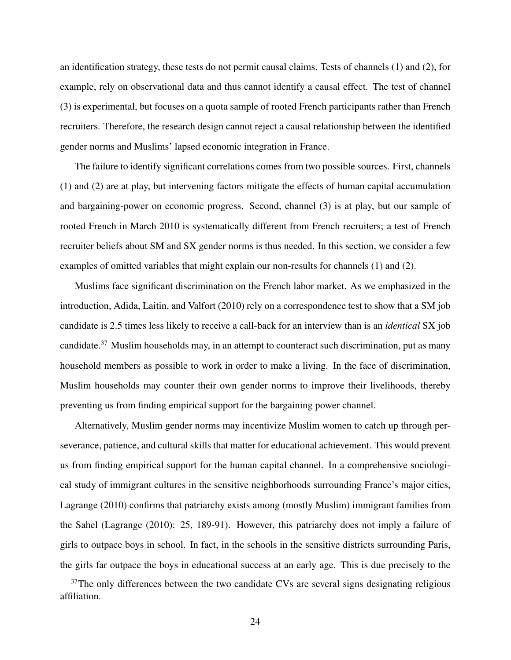an identification strategy, these tests do not permit causal claims. Tests of channels (1) and (2), for example, rely on observational data and thus cannot identify a causal effect. The test of channel (3) is experimental, but focuses on a quota sample of rooted French participants rather than French recruiters. Therefore, the research design cannot reject a causal relationship between the identified gender norms and Muslims' lapsed economic integration in France.

The failure to identify significant correlations comes from two possible sources. First, channels (1) and (2) are at play, but intervening factors mitigate the effects of human capital accumulation and bargaining-power on economic progress. Second, channel (3) is at play, but our sample of rooted French in March 2010 is systematically different from French recruiters; a test of French recruiter beliefs about SM and SX gender norms is thus needed. In this section, we consider a few examples of omitted variables that might explain our non-results for channels (1) and (2).

Muslims face significant discrimination on the French labor market. As we emphasized in the introduction, Adida, Laitin, and Valfort (2010) rely on a correspondence test to show that a SM job candidate is 2.5 times less likely to receive a call-back for an interview than is an *identical* SX job candidate.37 Muslim households may, in an attempt to counteract such discrimination, put as many household members as possible to work in order to make a living. In the face of discrimination, Muslim households may counter their own gender norms to improve their livelihoods, thereby preventing us from finding empirical support for the bargaining power channel.

Alternatively, Muslim gender norms may incentivize Muslim women to catch up through perseverance, patience, and cultural skills that matter for educational achievement. This would prevent us from finding empirical support for the human capital channel. In a comprehensive sociological study of immigrant cultures in the sensitive neighborhoods surrounding France's major cities, Lagrange (2010) confirms that patriarchy exists among (mostly Muslim) immigrant families from the Sahel (Lagrange (2010): 25, 189-91). However, this patriarchy does not imply a failure of girls to outpace boys in school. In fact, in the schools in the sensitive districts surrounding Paris, the girls far outpace the boys in educational success at an early age. This is due precisely to the

<sup>&</sup>lt;sup>37</sup>The only differences between the two candidate CVs are several signs designating religious affiliation.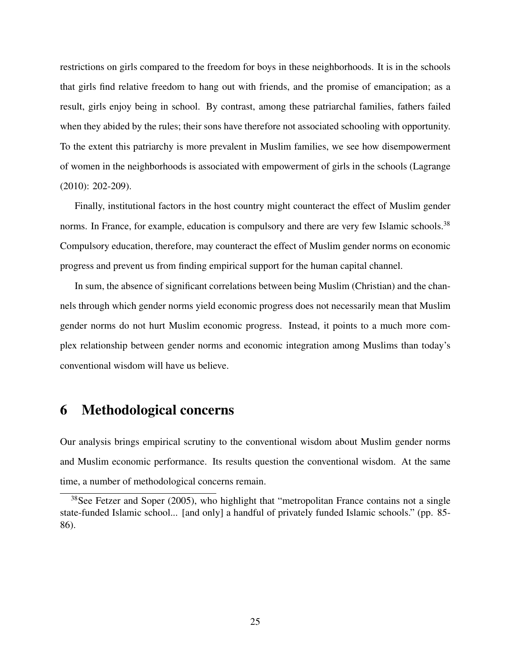restrictions on girls compared to the freedom for boys in these neighborhoods. It is in the schools that girls find relative freedom to hang out with friends, and the promise of emancipation; as a result, girls enjoy being in school. By contrast, among these patriarchal families, fathers failed when they abided by the rules; their sons have therefore not associated schooling with opportunity. To the extent this patriarchy is more prevalent in Muslim families, we see how disempowerment of women in the neighborhoods is associated with empowerment of girls in the schools (Lagrange (2010): 202-209).

Finally, institutional factors in the host country might counteract the effect of Muslim gender norms. In France, for example, education is compulsory and there are very few Islamic schools.<sup>38</sup> Compulsory education, therefore, may counteract the effect of Muslim gender norms on economic progress and prevent us from finding empirical support for the human capital channel.

In sum, the absence of significant correlations between being Muslim (Christian) and the channels through which gender norms yield economic progress does not necessarily mean that Muslim gender norms do not hurt Muslim economic progress. Instead, it points to a much more complex relationship between gender norms and economic integration among Muslims than today's conventional wisdom will have us believe.

### 6 Methodological concerns

Our analysis brings empirical scrutiny to the conventional wisdom about Muslim gender norms and Muslim economic performance. Its results question the conventional wisdom. At the same time, a number of methodological concerns remain.

 $38$ See Fetzer and Soper (2005), who highlight that "metropolitan France contains not a single state-funded Islamic school... [and only] a handful of privately funded Islamic schools." (pp. 85- 86).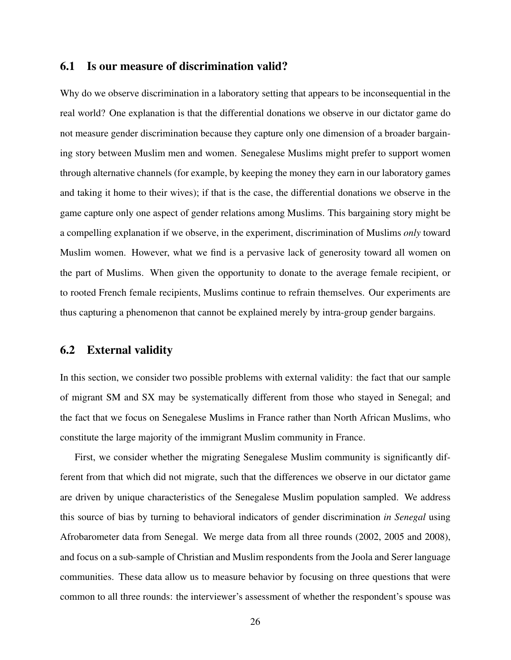#### 6.1 Is our measure of discrimination valid?

Why do we observe discrimination in a laboratory setting that appears to be inconsequential in the real world? One explanation is that the differential donations we observe in our dictator game do not measure gender discrimination because they capture only one dimension of a broader bargaining story between Muslim men and women. Senegalese Muslims might prefer to support women through alternative channels (for example, by keeping the money they earn in our laboratory games and taking it home to their wives); if that is the case, the differential donations we observe in the game capture only one aspect of gender relations among Muslims. This bargaining story might be a compelling explanation if we observe, in the experiment, discrimination of Muslims *only* toward Muslim women. However, what we find is a pervasive lack of generosity toward all women on the part of Muslims. When given the opportunity to donate to the average female recipient, or to rooted French female recipients, Muslims continue to refrain themselves. Our experiments are thus capturing a phenomenon that cannot be explained merely by intra-group gender bargains.

#### 6.2 External validity

In this section, we consider two possible problems with external validity: the fact that our sample of migrant SM and SX may be systematically different from those who stayed in Senegal; and the fact that we focus on Senegalese Muslims in France rather than North African Muslims, who constitute the large majority of the immigrant Muslim community in France.

First, we consider whether the migrating Senegalese Muslim community is significantly different from that which did not migrate, such that the differences we observe in our dictator game are driven by unique characteristics of the Senegalese Muslim population sampled. We address this source of bias by turning to behavioral indicators of gender discrimination *in Senegal* using Afrobarometer data from Senegal. We merge data from all three rounds (2002, 2005 and 2008), and focus on a sub-sample of Christian and Muslim respondents from the Joola and Serer language communities. These data allow us to measure behavior by focusing on three questions that were common to all three rounds: the interviewer's assessment of whether the respondent's spouse was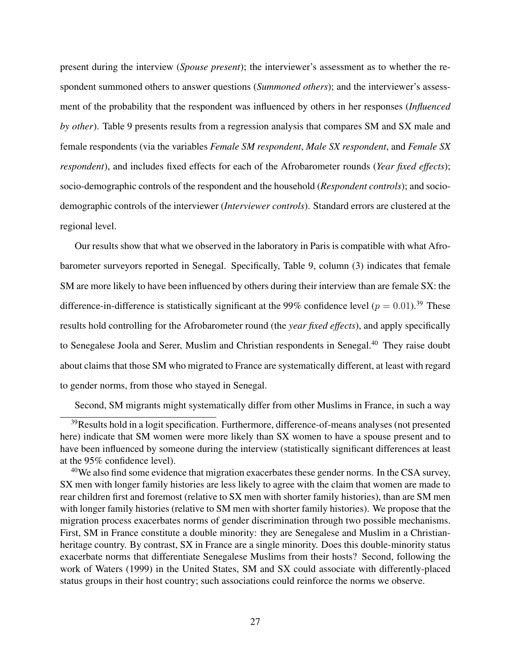present during the interview (*Spouse present*); the interviewer's assessment as to whether the respondent summoned others to answer questions (*Summoned others*); and the interviewer's assessment of the probability that the respondent was influenced by others in her responses (*Influenced by other*). Table 9 presents results from a regression analysis that compares SM and SX male and female respondents (via the variables *Female SM respondent*, *Male SX respondent*, and *Female SX respondent*), and includes fixed effects for each of the Afrobarometer rounds (*Year fixed effects*); socio-demographic controls of the respondent and the household (*Respondent controls*); and sociodemographic controls of the interviewer (*Interviewer controls*). Standard errors are clustered at the regional level.

Our results show that what we observed in the laboratory in Paris is compatible with what Afrobarometer surveyors reported in Senegal. Specifically, Table 9, column (3) indicates that female SM are more likely to have been influenced by others during their interview than are female SX: the difference-in-difference is statistically significant at the 99% confidence level ( $p = 0.01$ ).<sup>39</sup> These results hold controlling for the Afrobarometer round (the *year fixed effects*), and apply specifically to Senegalese Joola and Serer, Muslim and Christian respondents in Senegal.<sup>40</sup> They raise doubt about claims that those SM who migrated to France are systematically different, at least with regard to gender norms, from those who stayed in Senegal.

Second, SM migrants might systematically differ from other Muslims in France, in such a way

<sup>&</sup>lt;sup>39</sup>Results hold in a logit specification. Furthermore, difference-of-means analyses (not presented here) indicate that SM women were more likely than SX women to have a spouse present and to have been influenced by someone during the interview (statistically significant differences at least at the 95% confidence level).

<sup>&</sup>lt;sup>40</sup>We also find some evidence that migration exacerbates these gender norms. In the CSA survey, SX men with longer family histories are less likely to agree with the claim that women are made to rear children first and foremost (relative to SX men with shorter family histories), than are SM men with longer family histories (relative to SM men with shorter family histories). We propose that the migration process exacerbates norms of gender discrimination through two possible mechanisms. First, SM in France constitute a double minority: they are Senegalese and Muslim in a Christianheritage country. By contrast, SX in France are a single minority. Does this double-minority status exacerbate norms that differentiate Senegalese Muslims from their hosts? Second, following the work of Waters (1999) in the United States, SM and SX could associate with differently-placed status groups in their host country; such associations could reinforce the norms we observe.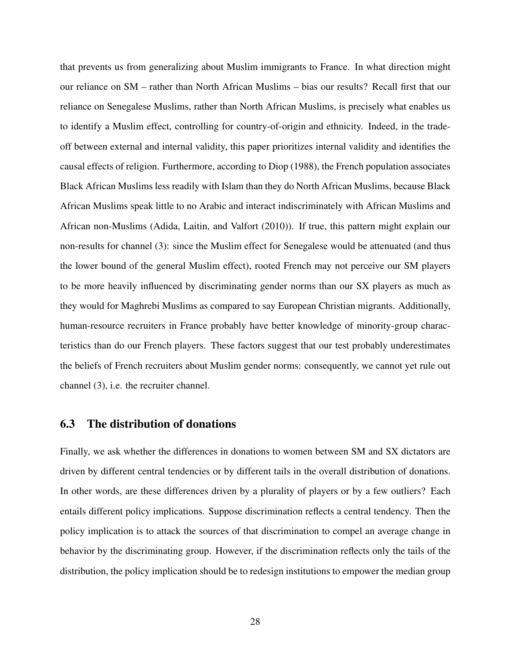that prevents us from generalizing about Muslim immigrants to France. In what direction might our reliance on SM – rather than North African Muslims – bias our results? Recall first that our reliance on Senegalese Muslims, rather than North African Muslims, is precisely what enables us to identify a Muslim effect, controlling for country-of-origin and ethnicity. Indeed, in the tradeoff between external and internal validity, this paper prioritizes internal validity and identifies the causal effects of religion. Furthermore, according to Diop (1988), the French population associates Black African Muslims less readily with Islam than they do North African Muslims, because Black African Muslims speak little to no Arabic and interact indiscriminately with African Muslims and African non-Muslims (Adida, Laitin, and Valfort (2010)). If true, this pattern might explain our non-results for channel (3): since the Muslim effect for Senegalese would be attenuated (and thus the lower bound of the general Muslim effect), rooted French may not perceive our SM players to be more heavily influenced by discriminating gender norms than our SX players as much as they would for Maghrebi Muslims as compared to say European Christian migrants. Additionally, human-resource recruiters in France probably have better knowledge of minority-group characteristics than do our French players. These factors suggest that our test probably underestimates the beliefs of French recruiters about Muslim gender norms: consequently, we cannot yet rule out channel (3), i.e. the recruiter channel.

#### 6.3 The distribution of donations

Finally, we ask whether the differences in donations to women between SM and SX dictators are driven by different central tendencies or by different tails in the overall distribution of donations. In other words, are these differences driven by a plurality of players or by a few outliers? Each entails different policy implications. Suppose discrimination reflects a central tendency. Then the policy implication is to attack the sources of that discrimination to compel an average change in behavior by the discriminating group. However, if the discrimination reflects only the tails of the distribution, the policy implication should be to redesign institutions to empower the median group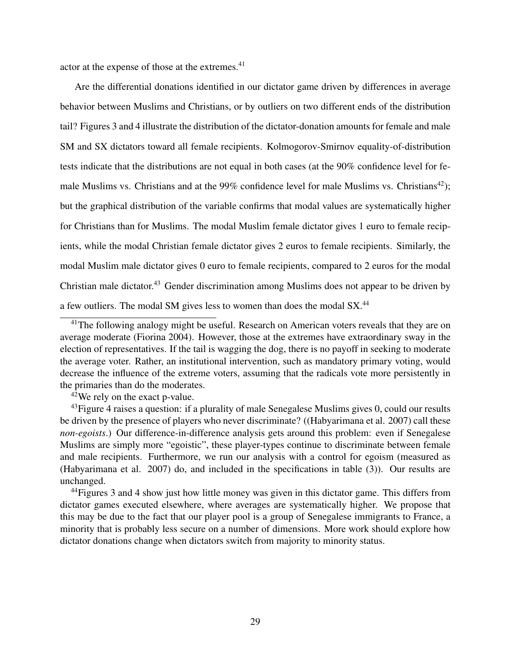actor at the expense of those at the extremes.<sup>41</sup>

Are the differential donations identified in our dictator game driven by differences in average behavior between Muslims and Christians, or by outliers on two different ends of the distribution tail? Figures 3 and 4 illustrate the distribution of the dictator-donation amounts for female and male SM and SX dictators toward all female recipients. Kolmogorov-Smirnov equality-of-distribution tests indicate that the distributions are not equal in both cases (at the 90% confidence level for female Muslims vs. Christians and at the 99% confidence level for male Muslims vs. Christians<sup>42</sup>); but the graphical distribution of the variable confirms that modal values are systematically higher for Christians than for Muslims. The modal Muslim female dictator gives 1 euro to female recipients, while the modal Christian female dictator gives 2 euros to female recipients. Similarly, the modal Muslim male dictator gives 0 euro to female recipients, compared to 2 euros for the modal Christian male dictator.43 Gender discrimination among Muslims does not appear to be driven by a few outliers. The modal SM gives less to women than does the modal SX.44

 $42$ We rely on the exact p-value.

 $41$ The following analogy might be useful. Research on American voters reveals that they are on average moderate (Fiorina 2004). However, those at the extremes have extraordinary sway in the election of representatives. If the tail is wagging the dog, there is no payoff in seeking to moderate the average voter. Rather, an institutional intervention, such as mandatory primary voting, would decrease the influence of the extreme voters, assuming that the radicals vote more persistently in the primaries than do the moderates.

 $43$ Figure 4 raises a question: if a plurality of male Senegalese Muslims gives 0, could our results be driven by the presence of players who never discriminate? ((Habyarimana et al. 2007) call these *non-egoists*.) Our difference-in-difference analysis gets around this problem: even if Senegalese Muslims are simply more "egoistic", these player-types continue to discriminate between female and male recipients. Furthermore, we run our analysis with a control for egoism (measured as (Habyarimana et al. 2007) do, and included in the specifications in table (3)). Our results are unchanged.

<sup>&</sup>lt;sup>44</sup> Figures 3 and 4 show just how little money was given in this dictator game. This differs from dictator games executed elsewhere, where averages are systematically higher. We propose that this may be due to the fact that our player pool is a group of Senegalese immigrants to France, a minority that is probably less secure on a number of dimensions. More work should explore how dictator donations change when dictators switch from majority to minority status.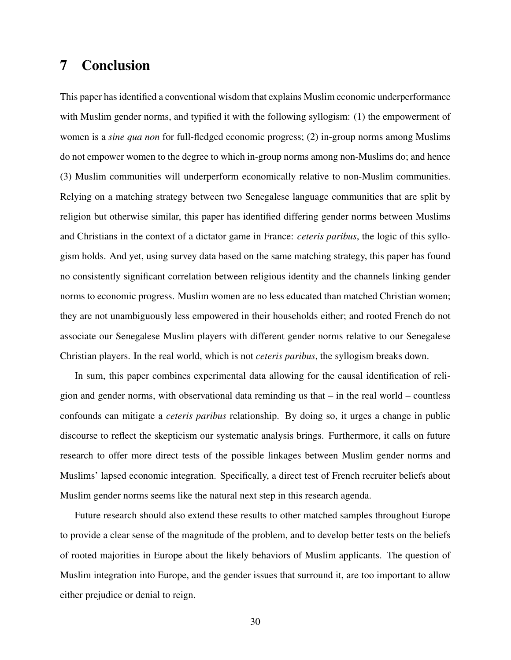### 7 Conclusion

This paper has identified a conventional wisdom that explains Muslim economic underperformance with Muslim gender norms, and typified it with the following syllogism: (1) the empowerment of women is a *sine qua non* for full-fledged economic progress; (2) in-group norms among Muslims do not empower women to the degree to which in-group norms among non-Muslims do; and hence (3) Muslim communities will underperform economically relative to non-Muslim communities. Relying on a matching strategy between two Senegalese language communities that are split by religion but otherwise similar, this paper has identified differing gender norms between Muslims and Christians in the context of a dictator game in France: *ceteris paribus*, the logic of this syllogism holds. And yet, using survey data based on the same matching strategy, this paper has found no consistently significant correlation between religious identity and the channels linking gender norms to economic progress. Muslim women are no less educated than matched Christian women; they are not unambiguously less empowered in their households either; and rooted French do not associate our Senegalese Muslim players with different gender norms relative to our Senegalese Christian players. In the real world, which is not *ceteris paribus*, the syllogism breaks down.

In sum, this paper combines experimental data allowing for the causal identification of religion and gender norms, with observational data reminding us that – in the real world – countless confounds can mitigate a *ceteris paribus* relationship. By doing so, it urges a change in public discourse to reflect the skepticism our systematic analysis brings. Furthermore, it calls on future research to offer more direct tests of the possible linkages between Muslim gender norms and Muslims' lapsed economic integration. Specifically, a direct test of French recruiter beliefs about Muslim gender norms seems like the natural next step in this research agenda.

Future research should also extend these results to other matched samples throughout Europe to provide a clear sense of the magnitude of the problem, and to develop better tests on the beliefs of rooted majorities in Europe about the likely behaviors of Muslim applicants. The question of Muslim integration into Europe, and the gender issues that surround it, are too important to allow either prejudice or denial to reign.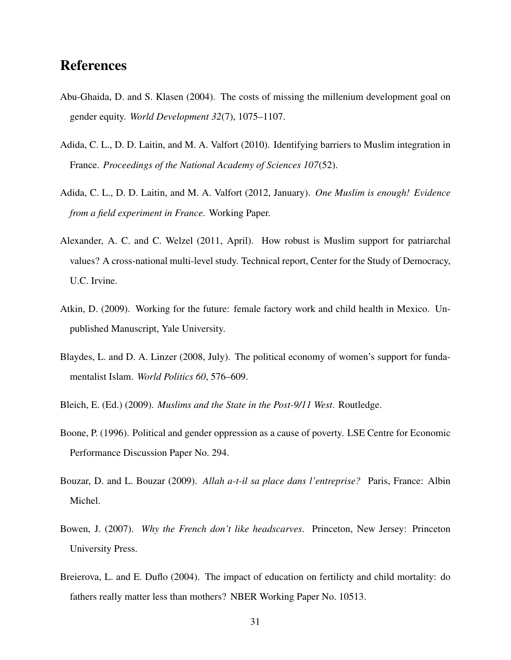### References

- Abu-Ghaida, D. and S. Klasen (2004). The costs of missing the millenium development goal on gender equity. *World Development 32*(7), 1075–1107.
- Adida, C. L., D. D. Laitin, and M. A. Valfort (2010). Identifying barriers to Muslim integration in France. *Proceedings of the National Academy of Sciences 107*(52).
- Adida, C. L., D. D. Laitin, and M. A. Valfort (2012, January). *One Muslim is enough! Evidence from a field experiment in France*. Working Paper.
- Alexander, A. C. and C. Welzel (2011, April). How robust is Muslim support for patriarchal values? A cross-national multi-level study. Technical report, Center for the Study of Democracy, U.C. Irvine.
- Atkin, D. (2009). Working for the future: female factory work and child health in Mexico. Unpublished Manuscript, Yale University.
- Blaydes, L. and D. A. Linzer (2008, July). The political economy of women's support for fundamentalist Islam. *World Politics 60*, 576–609.
- Bleich, E. (Ed.) (2009). *Muslims and the State in the Post-9/11 West*. Routledge.
- Boone, P. (1996). Political and gender oppression as a cause of poverty. LSE Centre for Economic Performance Discussion Paper No. 294.
- Bouzar, D. and L. Bouzar (2009). *Allah a-t-il sa place dans l'entreprise?* Paris, France: Albin Michel.
- Bowen, J. (2007). *Why the French don't like headscarves*. Princeton, New Jersey: Princeton University Press.
- Breierova, L. and E. Duflo (2004). The impact of education on fertilicty and child mortality: do fathers really matter less than mothers? NBER Working Paper No. 10513.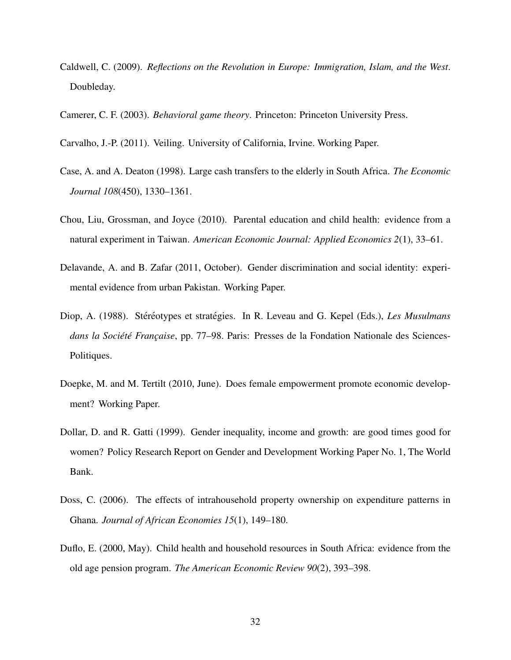- Caldwell, C. (2009). *Reflections on the Revolution in Europe: Immigration, Islam, and the West*. Doubleday.
- Camerer, C. F. (2003). *Behavioral game theory*. Princeton: Princeton University Press.
- Carvalho, J.-P. (2011). Veiling. University of California, Irvine. Working Paper.
- Case, A. and A. Deaton (1998). Large cash transfers to the elderly in South Africa. *The Economic Journal 108*(450), 1330–1361.
- Chou, Liu, Grossman, and Joyce (2010). Parental education and child health: evidence from a natural experiment in Taiwan. *American Economic Journal: Applied Economics 2*(1), 33–61.
- Delavande, A. and B. Zafar (2011, October). Gender discrimination and social identity: experimental evidence from urban Pakistan. Working Paper.
- Diop, A. (1988). Stéréotypes et stratégies. In R. Leveau and G. Kepel (Eds.), Les Musulmans *dans la Société Française*, pp. 77–98. Paris: Presses de la Fondation Nationale des Sciences-Politiques.
- Doepke, M. and M. Tertilt (2010, June). Does female empowerment promote economic development? Working Paper.
- Dollar, D. and R. Gatti (1999). Gender inequality, income and growth: are good times good for women? Policy Research Report on Gender and Development Working Paper No. 1, The World Bank.
- Doss, C. (2006). The effects of intrahousehold property ownership on expenditure patterns in Ghana. *Journal of African Economies 15*(1), 149–180.
- Duflo, E. (2000, May). Child health and household resources in South Africa: evidence from the old age pension program. *The American Economic Review 90*(2), 393–398.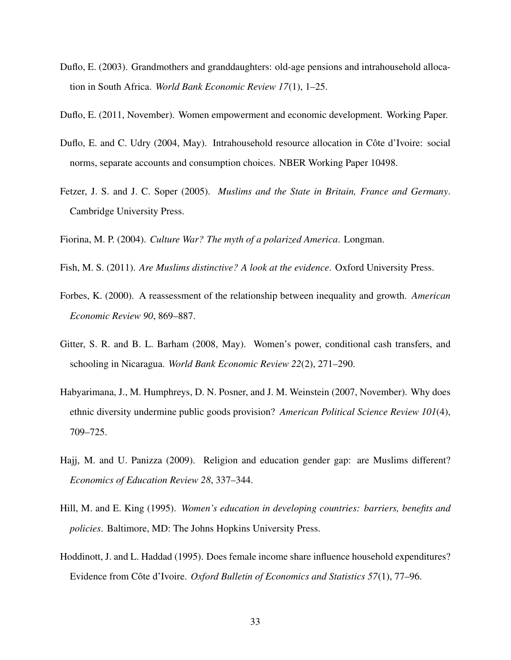- Duflo, E. (2003). Grandmothers and granddaughters: old-age pensions and intrahousehold allocation in South Africa. *World Bank Economic Review 17*(1), 1–25.
- Duflo, E. (2011, November). Women empowerment and economic development. Working Paper.
- Duflo, E. and C. Udry (2004, May). Intrahousehold resource allocation in Côte d'Ivoire: social norms, separate accounts and consumption choices. NBER Working Paper 10498.
- Fetzer, J. S. and J. C. Soper (2005). *Muslims and the State in Britain, France and Germany*. Cambridge University Press.

Fiorina, M. P. (2004). *Culture War? The myth of a polarized America*. Longman.

- Fish, M. S. (2011). *Are Muslims distinctive? A look at the evidence*. Oxford University Press.
- Forbes, K. (2000). A reassessment of the relationship between inequality and growth. *American Economic Review 90*, 869–887.
- Gitter, S. R. and B. L. Barham (2008, May). Women's power, conditional cash transfers, and schooling in Nicaragua. *World Bank Economic Review 22*(2), 271–290.
- Habyarimana, J., M. Humphreys, D. N. Posner, and J. M. Weinstein (2007, November). Why does ethnic diversity undermine public goods provision? *American Political Science Review 101*(4), 709–725.
- Hajj, M. and U. Panizza (2009). Religion and education gender gap: are Muslims different? *Economics of Education Review 28*, 337–344.
- Hill, M. and E. King (1995). *Women's education in developing countries: barriers, benefits and policies*. Baltimore, MD: The Johns Hopkins University Press.
- Hoddinott, J. and L. Haddad (1995). Does female income share influence household expenditures? Evidence from Côte d'Ivoire. Oxford Bulletin of Economics and Statistics 57(1), 77–96.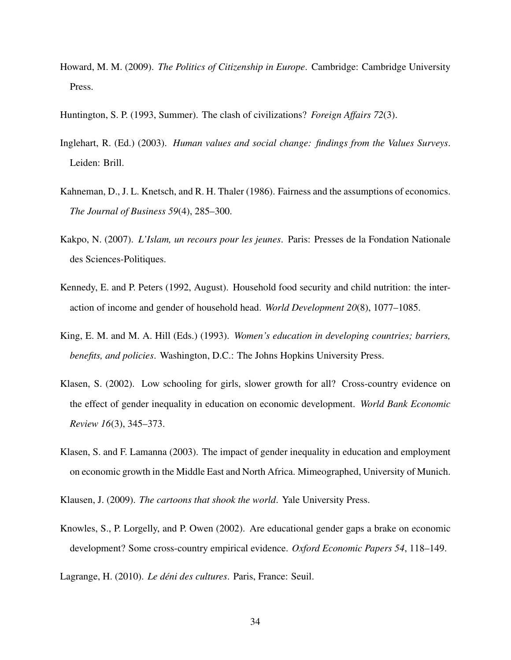- Howard, M. M. (2009). *The Politics of Citizenship in Europe*. Cambridge: Cambridge University Press.
- Huntington, S. P. (1993, Summer). The clash of civilizations? *Foreign Affairs 72*(3).
- Inglehart, R. (Ed.) (2003). *Human values and social change: findings from the Values Surveys*. Leiden: Brill.
- Kahneman, D., J. L. Knetsch, and R. H. Thaler (1986). Fairness and the assumptions of economics. *The Journal of Business 59*(4), 285–300.
- Kakpo, N. (2007). *L'Islam, un recours pour les jeunes*. Paris: Presses de la Fondation Nationale des Sciences-Politiques.
- Kennedy, E. and P. Peters (1992, August). Household food security and child nutrition: the interaction of income and gender of household head. *World Development 20*(8), 1077–1085.
- King, E. M. and M. A. Hill (Eds.) (1993). *Women's education in developing countries; barriers, benefits, and policies*. Washington, D.C.: The Johns Hopkins University Press.
- Klasen, S. (2002). Low schooling for girls, slower growth for all? Cross-country evidence on the effect of gender inequality in education on economic development. *World Bank Economic Review 16*(3), 345–373.
- Klasen, S. and F. Lamanna (2003). The impact of gender inequality in education and employment on economic growth in the Middle East and North Africa. Mimeographed, University of Munich.
- Klausen, J. (2009). *The cartoons that shook the world*. Yale University Press.
- Knowles, S., P. Lorgelly, and P. Owen (2002). Are educational gender gaps a brake on economic development? Some cross-country empirical evidence. *Oxford Economic Papers 54*, 118–149.
- Lagrange, H. (2010). *Le déni des cultures*. Paris, France: Seuil.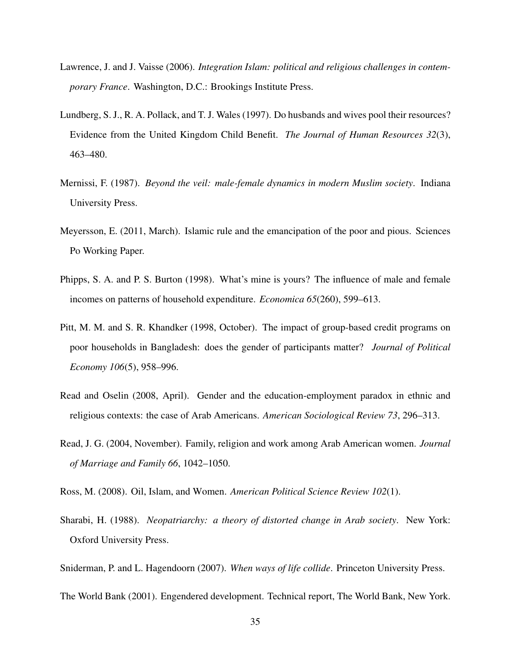- Lawrence, J. and J. Vaisse (2006). *Integration Islam: political and religious challenges in contemporary France*. Washington, D.C.: Brookings Institute Press.
- Lundberg, S. J., R. A. Pollack, and T. J. Wales (1997). Do husbands and wives pool their resources? Evidence from the United Kingdom Child Benefit. *The Journal of Human Resources 32*(3), 463–480.
- Mernissi, F. (1987). *Beyond the veil: male-female dynamics in modern Muslim society*. Indiana University Press.
- Meyersson, E. (2011, March). Islamic rule and the emancipation of the poor and pious. Sciences Po Working Paper.
- Phipps, S. A. and P. S. Burton (1998). What's mine is yours? The influence of male and female incomes on patterns of household expenditure. *Economica 65*(260), 599–613.
- Pitt, M. M. and S. R. Khandker (1998, October). The impact of group-based credit programs on poor households in Bangladesh: does the gender of participants matter? *Journal of Political Economy 106*(5), 958–996.
- Read and Oselin (2008, April). Gender and the education-employment paradox in ethnic and religious contexts: the case of Arab Americans. *American Sociological Review 73*, 296–313.
- Read, J. G. (2004, November). Family, religion and work among Arab American women. *Journal of Marriage and Family 66*, 1042–1050.
- Ross, M. (2008). Oil, Islam, and Women. *American Political Science Review 102*(1).
- Sharabi, H. (1988). *Neopatriarchy: a theory of distorted change in Arab society*. New York: Oxford University Press.
- Sniderman, P. and L. Hagendoorn (2007). *When ways of life collide*. Princeton University Press.

The World Bank (2001). Engendered development. Technical report, The World Bank, New York.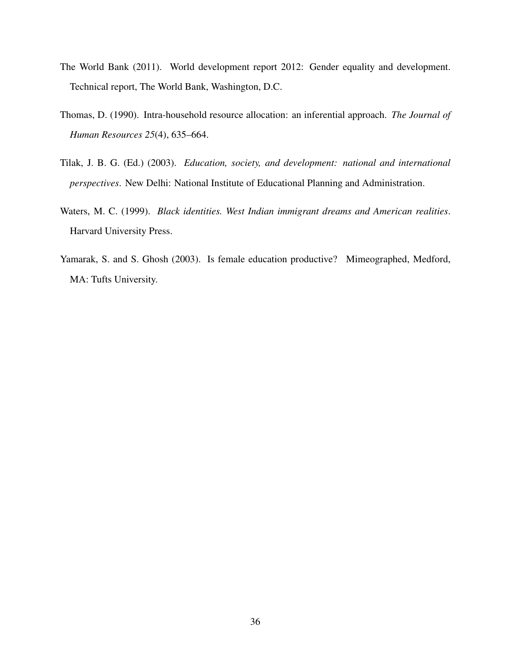- The World Bank (2011). World development report 2012: Gender equality and development. Technical report, The World Bank, Washington, D.C.
- Thomas, D. (1990). Intra-household resource allocation: an inferential approach. *The Journal of Human Resources 25*(4), 635–664.
- Tilak, J. B. G. (Ed.) (2003). *Education, society, and development: national and international perspectives*. New Delhi: National Institute of Educational Planning and Administration.
- Waters, M. C. (1999). *Black identities. West Indian immigrant dreams and American realities*. Harvard University Press.
- Yamarak, S. and S. Ghosh (2003). Is female education productive? Mimeographed, Medford, MA: Tufts University.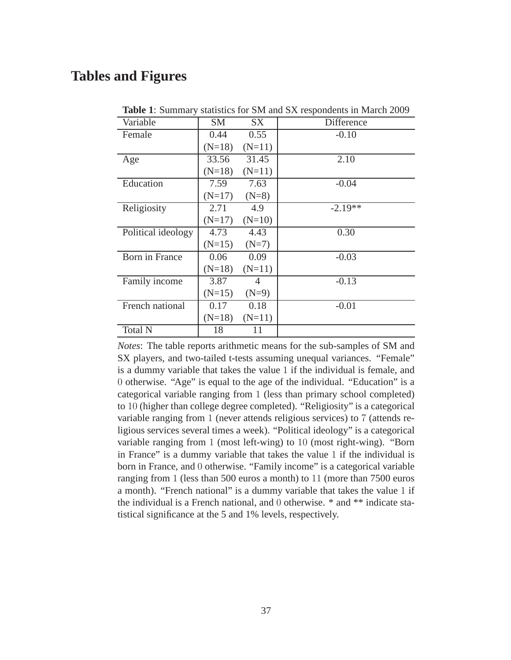# **Tables and Figures**

| SM       | SX       | Difference                                                                       |
|----------|----------|----------------------------------------------------------------------------------|
| 0.44     | 0.55     | $-0.10$                                                                          |
|          | $(N=11)$ |                                                                                  |
| 33.56    | 31.45    | 2.10                                                                             |
|          | $(N=11)$ |                                                                                  |
| 7.59     | 7.63     | $-0.04$                                                                          |
|          | $(N=8)$  |                                                                                  |
| 2.71     | 4.9      | $-2.19**$                                                                        |
|          | $(N=10)$ |                                                                                  |
| 4.73     | 4.43     | 0.30                                                                             |
|          | $(N=7)$  |                                                                                  |
| 0.06     | 0.09     | $-0.03$                                                                          |
|          | $(N=11)$ |                                                                                  |
| 3.87     | 4        | $-0.13$                                                                          |
| $(N=15)$ | $(N=9)$  |                                                                                  |
| 0.17     | 0.18     | $-0.01$                                                                          |
|          | $(N=11)$ |                                                                                  |
| 18       | 11       |                                                                                  |
|          |          | $(N=18)$<br>$(N=18)$<br>$(N=17)$<br>$(N=17)$<br>$(N=15)$<br>$(N=18)$<br>$(N=18)$ |

**Table 1**: Summary statistics for SM and SX respondents in March 2009

*Notes*: The table reports arithmetic means for the sub-samples of SM and SX players, and two-tailed t-tests assuming unequal variances. "Female" is a dummy variable that takes the value 1 if the individual is female, and 0 otherwise. "Age" is equal to the age of the individual. "Education" is a categorical variable ranging from 1 (less than primary school completed) to 10 (higher than college degree completed). "Religiosity" is a categorical variable ranging from 1 (never attends religious services) to 7 (attends religious services several times a week). "Political ideology" is a categorical variable ranging from 1 (most left-wing) to 10 (most right-wing). "Born in France" is a dummy variable that takes the value 1 if the individual is born in France, and 0 otherwise. "Family income" is a categorical variable ranging from 1 (less than 500 euros a month) to 11 (more than 7500 euros a month). "French national" is a dummy variable that takes the value 1 if the individual is a French national, and 0 otherwise. \* and \*\* indicate statistical significance at the 5 and 1% levels, respectively.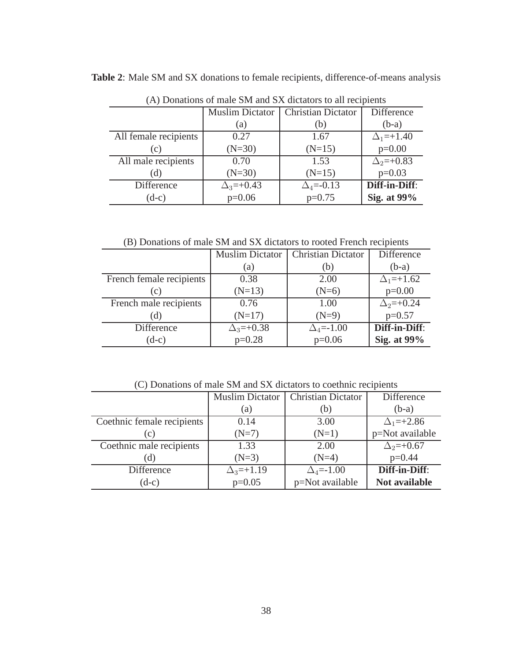|                       | $(A)$ Donations of male sive and szy dictators to all recipients |                           |                    |  |  |
|-----------------------|------------------------------------------------------------------|---------------------------|--------------------|--|--|
|                       | <b>Muslim Dictator</b>                                           | <b>Christian Dictator</b> | Difference         |  |  |
|                       | (a)                                                              | (b)                       | $(b-a)$            |  |  |
| All female recipients | 0.27                                                             | 1.67                      | $\Delta_1 = +1.40$ |  |  |
| (c)                   | $(N=30)$                                                         | $(N=15)$                  | $p=0.00$           |  |  |
| All male recipients   | 0.70                                                             | 1.53                      | $\Delta_2=+0.83$   |  |  |
| (d)                   | $(N=30)$                                                         | $(N=15)$                  | $p=0.03$           |  |  |
| Difference            | $\Delta_3 = +0.43$                                               | $\Delta_4 = -0.13$        | Diff-in-Diff:      |  |  |
| $(d-c)$               | $p=0.06$                                                         | $p=0.75$                  | Sig. at 99%        |  |  |

**Table 2**: Male SM and SX donations to female recipients, difference-of-means analysis

(A) Donations of male SM and SX dictators to all recipients

(B) Donations of male SM and SX dictators to rooted French recipients

|                          | <b>Muslim Dictator</b> | Christian Dictator | <b>Difference</b>  |
|--------------------------|------------------------|--------------------|--------------------|
|                          | (a)                    | (b)                | $(b-a)$            |
| French female recipients | 0.38                   | 2.00               | $\Delta_1 = +1.62$ |
| (c)                      | $(N=13)$               | $(N=6)$            | $p=0.00$           |
| French male recipients   | 0.76                   | 1.00               | $\Delta_2 = +0.24$ |
| (d)                      | $(N=17)$               | $(N=9)$            | $p=0.57$           |
| Difference               | $\Delta_3 = +0.38$     | $\Delta_4 = -1.00$ | Diff-in-Diff:      |
| $(d-c)$                  | $p=0.28$               | $p=0.06$           | Sig. at 99%        |

(C) Donations of male SM and SX dictators to coethnic recipients

|                            | <b>Muslim Dictator</b> | <b>Christian Dictator</b>    | Difference           |
|----------------------------|------------------------|------------------------------|----------------------|
|                            | (a)                    | (b)                          | $(b-a)$              |
| Coethnic female recipients | 0.14                   | 3.00                         | $\Delta_1 = +2.86$   |
| (c)                        | $(N=7)$                | $(N=1)$                      | p=Not available      |
| Coethnic male recipients   | 1.33                   | 2.00                         | $\Delta_2 = +0.67$   |
| (d)                        | $(N=3)$                | $(N=4)$                      | $p=0.44$             |
| Difference                 | $\Delta_3 = +1.19$     | $\Delta$ <sub>4</sub> =-1.00 | Diff-in-Diff:        |
| $(d-c)$                    | $p=0.05$               | p=Not available              | <b>Not available</b> |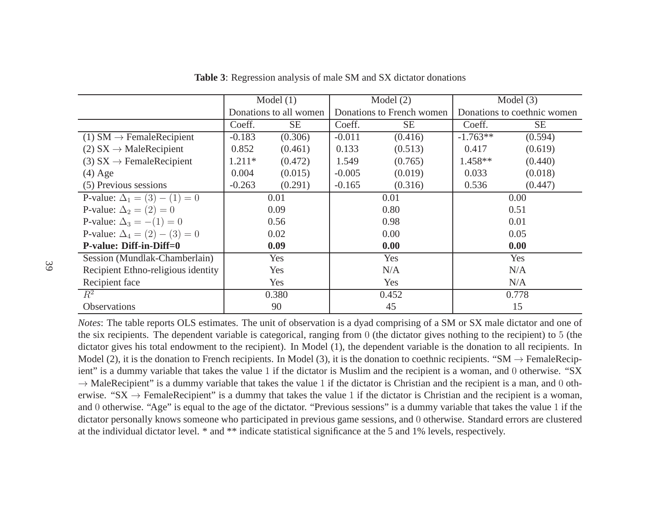|                                        | Model $(1)$ |                        | Model $(2)$ |                           | Model $(3)$ |                             |  |
|----------------------------------------|-------------|------------------------|-------------|---------------------------|-------------|-----------------------------|--|
|                                        |             | Donations to all women |             | Donations to French women |             | Donations to coethnic women |  |
|                                        | Coeff.      | <b>SE</b>              | Coeff.      | <b>SE</b>                 | Coeff.      | <b>SE</b>                   |  |
| $(1)$ SM $\rightarrow$ FemaleRecipient | $-0.183$    | (0.306)                | $-0.011$    | (0.416)                   | $-1.763**$  | (0.594)                     |  |
| $(2) SX \rightarrow MaleRecipient$     | 0.852       | (0.461)                | 0.133       | (0.513)                   | 0.417       | (0.619)                     |  |
| (3) $SX \rightarrow$ FemaleRecipient   | $1.211*$    | (0.472)                | 1.549       | (0.765)                   | $1.458**$   | (0.440)                     |  |
| $(4)$ Age                              | 0.004       | (0.015)                | $-0.005$    | (0.019)                   | 0.033       | (0.018)                     |  |
| (5) Previous sessions                  | $-0.263$    | (0.291)                | $-0.165$    | (0.316)                   | 0.536       | (0.447)                     |  |
| P-value: $\Delta_1 = (3) - (1) = 0$    |             | 0.01                   | 0.01        |                           | 0.00        |                             |  |
| P-value: $\Delta_2 = (2) = 0$          |             | 0.09                   | 0.80        |                           | 0.51        |                             |  |
| P-value: $\Delta_3 = -(1) = 0$         | 0.56        |                        |             | 0.98                      |             | 0.01                        |  |
| P-value: $\Delta_4 = (2) - (3) = 0$    | 0.02        |                        |             | 0.00                      |             | 0.05                        |  |
| P-value: Diff-in-Diff=0                |             | 0.09                   |             | 0.00                      |             | 0.00                        |  |
| Session (Mundlak-Chamberlain)          | Yes         |                        | Yes         |                           | Yes         |                             |  |
| Recipient Ethno-religious identity     | Yes         |                        | N/A         |                           | N/A         |                             |  |
| Recipient face                         | Yes         |                        | Yes         |                           | N/A         |                             |  |
| $R^2$                                  | 0.380       |                        | 0.452       |                           | 0.778       |                             |  |
| Observations                           |             | 90                     | 45          |                           | 15          |                             |  |

**Table 3**: Regression analysis of male SM and SX dictator donations

*Notes*: The table reports OLS estimates. The unit of observation is <sup>a</sup> dyad comprising of <sup>a</sup> SM or SX male dictator and one of the six recipients. The dependent variable is categorical, ranging from 0 (the dictator gives nothing to the recipient) to 5 (the dictator gives nothing to the recipient) to 5 (the dictator gives nothing to  $\frac{1}{2}$  and dictator gives his total endowment to the recipient). In Model (1), the dependent variable is the donation to all recipients. InModel (2), it is the donation to French recipients. In Model (3), it is the donation to coethnic recipients. "SM  $\rightarrow$  FemaleRecipient" is a dummy variable that takes the value 1 if the dictator is Muslim and the recipient ient" is <sup>a</sup> dummy variable that takes the value <sup>1</sup> if the dictator is Muslim and the recipient is <sup>a</sup> woman, and <sup>0</sup> otherwise. "SX $\rightarrow$  MaleRecipient" is a dummy variable that takes the value 1 if the dictator is Christian and the recipient is a man, and 0 oth-<br>erwise "SX  $\rightarrow$  EemaleRecipient" is a dummy that takes the value 1 if the dictator is Chri erwise. "SX  $\rightarrow$  FemaleRecipient" is a dummy that takes the value 1 if the dictator is Christian and the recipient is a woman,<br>and 0 otherwise. "Age" is equal to the age of the dictator. "Previous sessions" is a dummy var and <sup>0</sup> otherwise. "Age" is equa<sup>l</sup> to the age of the dictator. "Previous sessions" is <sup>a</sup> dummy variable that takes the value <sup>1</sup> if the dictator personally knows someone who participated in previous game sessions, and <sup>0</sup> otherwise. Standard errors are clustered at the individual dictator level. \* and \*\* indicate statistical significance at the 5 and 1% levels, respectively.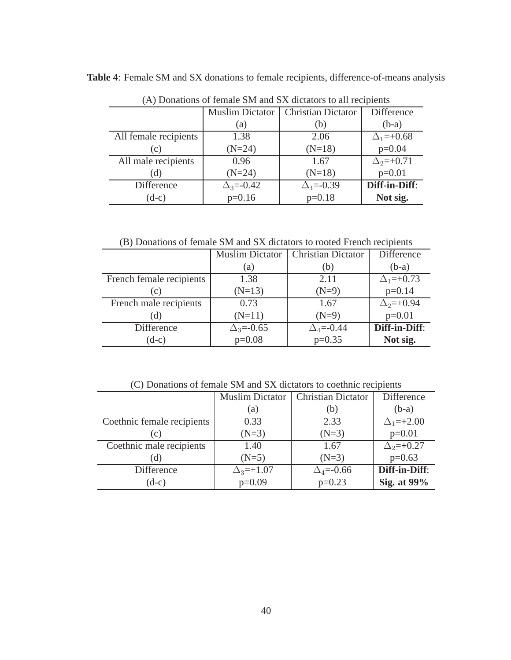|                       | $(A)$ Donations of female sixt and $SA$ dictators to all feeipichts |                           |                    |  |  |
|-----------------------|---------------------------------------------------------------------|---------------------------|--------------------|--|--|
|                       | <b>Muslim Dictator</b>                                              | <b>Christian Dictator</b> | <b>Difference</b>  |  |  |
|                       | (a)                                                                 | (b)                       | $(b-a)$            |  |  |
| All female recipients | 1.38                                                                | 2.06                      | $\Delta_1 = +0.68$ |  |  |
| (c)                   | $(N=24)$                                                            | $(N=18)$                  | $p=0.04$           |  |  |
| All male recipients   | 0.96                                                                | 1.67                      | $\Delta_2=+0.71$   |  |  |
| (d)                   | $(N=24)$                                                            | $(N=18)$                  | $p=0.01$           |  |  |
| Difference            | $\Delta_3 = -0.42$                                                  | $\Delta_4 = -0.39$        | Diff-in-Diff:      |  |  |
| $(d-c)$               | $p=0.16$                                                            | $p=0.18$                  | Not sig.           |  |  |

**Table 4**: Female SM and SX donations to female recipients, difference-of-means analysis

(A) Donations of female SM and SX dictators to all recipients

(B) Donations of female SM and SX dictators to rooted French recipients

|                          | <b>Muslim Dictator</b> | <b>Christian Dictator</b> | Difference         |
|--------------------------|------------------------|---------------------------|--------------------|
|                          | (a)                    | (b)                       | $(b-a)$            |
| French female recipients | 1.38                   | 2.11                      | $\Delta_1 = +0.73$ |
| (c)                      | $(N=13)$               | $(N=9)$                   | $p=0.14$           |
| French male recipients   | 0.73                   | 1.67                      | $\Delta_2 = +0.94$ |
| (d)                      | $(N=11)$               | $(N=9)$                   | $p=0.01$           |
| Difference               | $\Delta_3 = -0.65$     | $\Delta_4 = -0.44$        | Diff-in-Diff:      |
| $(d-c)$                  | $p=0.08$               | $p=0.35$                  | Not sig.           |

(C) Donations of female SM and SX dictators to coethnic recipients

|                            | <b>Muslim Dictator</b> | <b>Christian Dictator</b> | Difference         |
|----------------------------|------------------------|---------------------------|--------------------|
|                            | (a)                    | (b)                       | $(b-a)$            |
| Coethnic female recipients | 0.33                   | 2.33                      | $\Delta_1 = +2.00$ |
| (c)                        | $(N=3)$                | $(N=3)$                   | $p=0.01$           |
| Coethnic male recipients   | 1.40                   | 1.67                      | $\Delta_2 = +0.27$ |
| (d)                        | $(N=5)$                | $(N=3)$                   | $p=0.63$           |
| Difference                 | $\Delta_3 = +1.07$     | $\Delta_4$ =-0.66         | Diff-in-Diff:      |
| $(d-c)$                    | $p=0.09$               | $p=0.23$                  | Sig. at 99%        |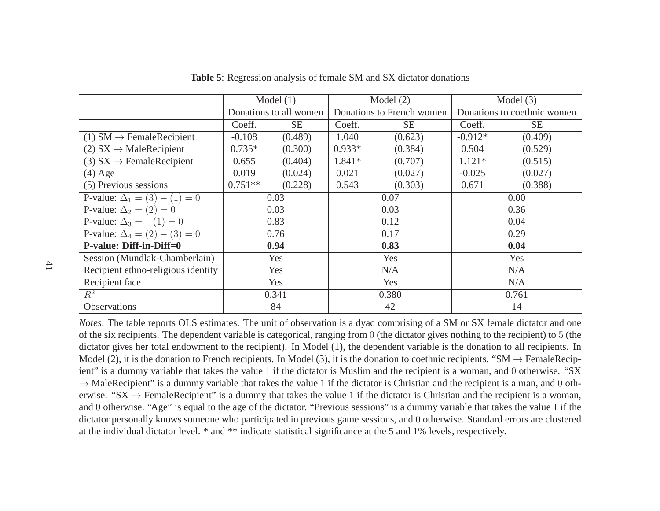|                                        | Model $(1)$ |                        | Model $(2)$ |                           | Model $(3)$ |                             |  |
|----------------------------------------|-------------|------------------------|-------------|---------------------------|-------------|-----------------------------|--|
|                                        |             | Donations to all women |             | Donations to French women |             | Donations to coethnic women |  |
|                                        | Coeff.      | <b>SE</b>              | Coeff.      | <b>SE</b>                 | Coeff.      | <b>SE</b>                   |  |
| $(1)$ SM $\rightarrow$ FemaleRecipient | $-0.108$    | (0.489)                | 1.040       | (0.623)                   | $-0.912*$   | (0.409)                     |  |
| $(2) SX \rightarrow MaleRecipient$     | $0.735*$    | (0.300)                | $0.933*$    | (0.384)                   | 0.504       | (0.529)                     |  |
| (3) $SX \rightarrow$ FemaleRecipient   | 0.655       | (0.404)                | 1.841*      | (0.707)                   | $1.121*$    | (0.515)                     |  |
| $(4)$ Age                              | 0.019       | (0.024)                | 0.021       | (0.027)                   | $-0.025$    | (0.027)                     |  |
| (5) Previous sessions                  | $0.751**$   | (0.228)                | 0.543       | (0.303)                   | 0.671       | (0.388)                     |  |
| P-value: $\Delta_1 = (3) - (1) = 0$    | 0.03        |                        | 0.07        |                           | 0.00        |                             |  |
| P-value: $\Delta_2 = (2) = 0$          |             | 0.03                   |             | 0.03                      |             | 0.36                        |  |
| P-value: $\Delta_3 = -(1) = 0$         |             | 0.83                   |             | 0.12                      |             | 0.04                        |  |
| P-value: $\Delta_4 = (2) - (3) = 0$    | 0.76        |                        | 0.17        |                           |             | 0.29                        |  |
| P-value: Diff-in-Diff=0                | 0.94        |                        |             | 0.83                      |             | 0.04                        |  |
| Session (Mundlak-Chamberlain)          |             | Yes                    | Yes         |                           | Yes         |                             |  |
| Recipient ethno-religious identity     | Yes         |                        | N/A         |                           | N/A         |                             |  |
| Recipient face                         | Yes         |                        | Yes         |                           | N/A         |                             |  |
| $R^2$                                  | 0.341       |                        | 0.380       |                           | 0.761       |                             |  |
| Observations                           |             | 84                     | 42          |                           | 14          |                             |  |

**Table 5**: Regression analysis of female SM and SX dictator donations

*Notes*: The table reports OLS estimates. The unit of observation is <sup>a</sup> dyad comprising of <sup>a</sup> SM or SX female dictator and oneof the six recipients. The dependent variable is categorical, ranging from  $0$  (the dictator gives nothing to the recipient) to 5 (the dictator gives nothing to the recipient) to 5 (the dictator gives nothing to  $5$ ) the dictator gives her total endowment to the recipient). In Model (1), the dependent variable is the donation to all recipients. InModel (2), it is the donation to French recipients. In Model (3), it is the donation to coethnic recipients. "SM  $\rightarrow$  FemaleRecipient" is a dummy variable that takes the value 1 if the dictator is Muslim and the recipient ient" is <sup>a</sup> dummy variable that takes the value <sup>1</sup> if the dictator is Muslim and the recipient is <sup>a</sup> woman, and <sup>0</sup> otherwise. "SX $\rightarrow$  MaleRecipient" is a dummy variable that takes the value 1 if the dictator is Christian and the recipient is a man, and 0 oth-<br>erwise "SX  $\rightarrow$  EemaleRecipient" is a dummy that takes the value 1 if the dictator is Chri erwise. "SX  $\rightarrow$  FemaleRecipient" is a dummy that takes the value 1 if the dictator is Christian and the recipient is a woman,<br>and 0 otherwise. "Age" is equal to the age of the dictator. "Previous sessions" is a dummy var and <sup>0</sup> otherwise. "Age" is equa<sup>l</sup> to the age of the dictator. "Previous sessions" is <sup>a</sup> dummy variable that takes the value <sup>1</sup> if the dictator personally knows someone who participated in previous game sessions, and <sup>0</sup> otherwise. Standard errors are clustered at the individual dictator level. \* and \*\* indicate statistical significance at the 5 and 1% levels, respectively.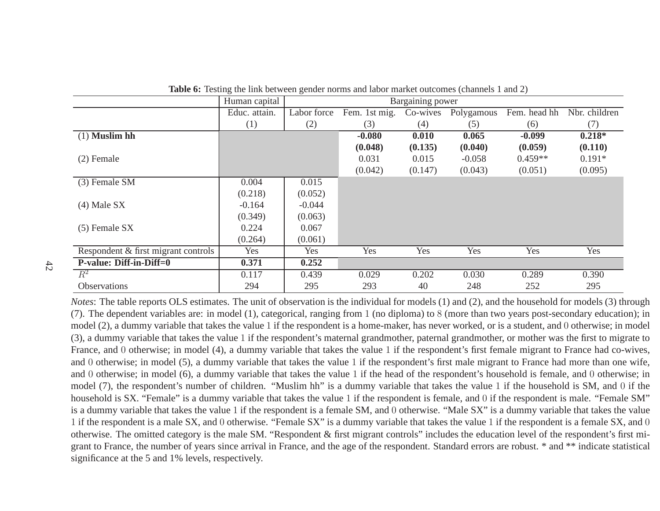|                                     | Human capital |             |               | <b>Bargaining power</b> |            |              |               |
|-------------------------------------|---------------|-------------|---------------|-------------------------|------------|--------------|---------------|
|                                     | Educ. attain. | Labor force | Fem. 1st mig. | Co-wives                | Polygamous | Fem. head hh | Nbr. children |
|                                     | (1)           | (2)         | (3)           | (4)                     | (5)        | (6)          | (7)           |
| $(1)$ Muslim hh                     |               |             | $-0.080$      | 0.010                   | 0.065      | $-0.099$     | $0.218*$      |
|                                     |               |             | (0.048)       | (0.135)                 | (0.040)    | (0.059)      | (0.110)       |
| $(2)$ Female                        |               |             | 0.031         | 0.015                   | $-0.058$   | $0.459**$    | $0.191*$      |
|                                     |               |             | (0.042)       | (0.147)                 | (0.043)    | (0.051)      | (0.095)       |
| (3) Female SM                       | 0.004         | 0.015       |               |                         |            |              |               |
|                                     | (0.218)       | (0.052)     |               |                         |            |              |               |
| $(4)$ Male SX                       | $-0.164$      | $-0.044$    |               |                         |            |              |               |
|                                     | (0.349)       | (0.063)     |               |                         |            |              |               |
| $(5)$ Female SX                     | 0.224         | 0.067       |               |                         |            |              |               |
|                                     | (0.264)       | (0.061)     |               |                         |            |              |               |
| Respondent & first migrant controls | Yes           | Yes         | Yes           | Yes                     | Yes        | Yes          | Yes           |
| <b>P-value: Diff-in-Diff=0</b>      | 0.371         | 0.252       |               |                         |            |              |               |
| $R^2$                               | 0.117         | 0.439       | 0.029         | 0.202                   | 0.030      | 0.289        | 0.390         |
| Observations                        | 294           | 295         | 293           | 40                      | 248        | 252          | 295           |

**Table 6:** Testing the link between gender norms and labor market outcomes (channels <sup>1</sup> and 2)

*Notes*: The table reports OLS estimates. The unit of observation is the individual for models (1) and (2), and the household for models (3) through (7). The dependent variables are: in model (1), categorical, ranging from <sup>1</sup> (no diploma) to <sup>8</sup> (more than two years post-secondary education); in model (2), <sup>a</sup> dummy variable that takes the value 1 if the respondent is <sup>a</sup> home-maker, has never worked, or is <sup>a</sup> student, and <sup>0</sup> otherwise; in model (3), <sup>a</sup> dummy variable that takes the value 1 if the respondent's maternal grandmother, paternal grandmother, or mother was the first to migrate to France, and <sup>0</sup> otherwise; in model (4), <sup>a</sup> dummy variable that takes the value <sup>1</sup> if the respondent's first female migrant to France had co-wives, and <sup>0</sup> otherwise; in model (5), <sup>a</sup> dummy variable that takes the value <sup>1</sup> if the respondent's first male migrant to France had more than one wife, and <sup>0</sup> otherwise; in model (6), <sup>a</sup> dummy variable that takes the value <sup>1</sup> if the head of the respondent's household is female, and <sup>0</sup> otherwise; in model (7), the respondent's number of children. "Muslim hh" is <sup>a</sup> dummy variable that takes the value <sup>1</sup> if the household is SM, and <sup>0</sup> if the household is SX. "Female" is <sup>a</sup> dummy variable that takes the value <sup>1</sup> if the respondent is female, and <sup>0</sup> if the respondent is male. "Female SM" is <sup>a</sup> dummy variable that takes the value 1 if the respondent is <sup>a</sup> female SM, and <sup>0</sup> otherwise. "Male SX" is <sup>a</sup> dummy variable that takes the value 1 if the respondent is <sup>a</sup> male SX, and <sup>0</sup> otherwise. "Female SX" is <sup>a</sup> dummy variable that takes the value <sup>1</sup> if the respondent is <sup>a</sup> female SX, and <sup>0</sup> otherwise. The omitted category is the male SM. "Respondent  $\&$  first migrant controls" includes the education level of the respondent's first migran<sup>t</sup> to France, the number of years since arrival in France, and the age of the respondent. Standard errors are robust. \* and \*\* indicate statisticalsignificance at the 5 and 1% levels, respectively.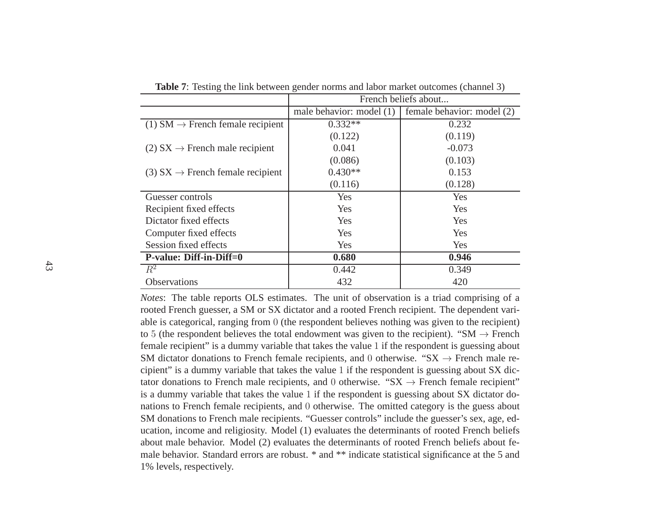|                                              | French beliefs about     |                            |  |  |
|----------------------------------------------|--------------------------|----------------------------|--|--|
|                                              | male behavior: model (1) | female behavior: model (2) |  |  |
| (1) SM $\rightarrow$ French female recipient | $0.332**$                | 0.232                      |  |  |
|                                              | (0.122)                  | (0.119)                    |  |  |
| (2) $SX \rightarrow$ French male recipient   | 0.041                    | $-0.073$                   |  |  |
|                                              | (0.086)                  | (0.103)                    |  |  |
| (3) $SX \rightarrow$ French female recipient | $0.430**$                | 0.153                      |  |  |
|                                              | (0.116)                  | (0.128)                    |  |  |
| Guesser controls                             | Yes                      | Yes                        |  |  |
| Recipient fixed effects                      | Yes                      | Yes                        |  |  |
| Dictator fixed effects                       | Yes                      | Yes                        |  |  |
| Computer fixed effects                       | Yes                      | Yes                        |  |  |
| Session fixed effects                        | Yes                      | Yes                        |  |  |
| P-value: Diff-in-Diff=0                      | 0.680                    | 0.946                      |  |  |
| $R^2$                                        | 0.442                    | 0.349                      |  |  |
| Observations                                 | 432                      | 420                        |  |  |

**Table 7**: Testing the link between gender norms and labor market outcomes (channel 3)

*Notes*: The table reports OLS estimates. The unit of observation is <sup>a</sup> triad comprising of <sup>a</sup> rooted French guesser, <sup>a</sup> SM or SX dictator and <sup>a</sup> rooted French recipient. The dependent variable is categorical, ranging from 0 (the respondent believes nothing was given to the recipient)<br>to  $\mathcal{F}$  (the recent believes the total or derivatives since to the recipient) if  $\mathcal{S}M \rightarrow \mathcal{F}$ to 5 (the respondent believes the total endowment was given to the recipient). "SM  $\rightarrow$  French<br>female recipient" is a dummy variable that takes the value 1 if the respondent is quessing about female recipient" is <sup>a</sup> dummy variable that takes the value 1 if the respondent is guessing about SM dictator donations to French female recipients, and 0 otherwise. "SX  $\rightarrow$  French male recipient" is a dummy variable that takes the value 1 if the respondent is quessing about SX diccipient" is <sup>a</sup> dummy variable that takes the value <sup>1</sup> if the respondent is guessing about SX dictator donations to French male recipients, and 0 otherwise. " $SX \rightarrow$  French female recipient"<br>is a dummy variable that takes the value 1 if the respondent is quessing about SX dictator dois <sup>a</sup> dummy variable that takes the value <sup>1</sup> if the respondent is guessing about SX dictator donations to French female recipients, and <sup>0</sup> otherwise. The omitted category is the guess about SM donations to French male recipients. "Guesser controls" include the guesser's sex, age, education, income and religiosity. Model (1) evaluates the determinants of rooted French beliefs about male behavior. Model (2) evaluates the determinants of rooted French beliefs about female behavior. Standard errors are robust. \* and \*\* indicate statistical significance at the <sup>5</sup> and1% levels, respectively.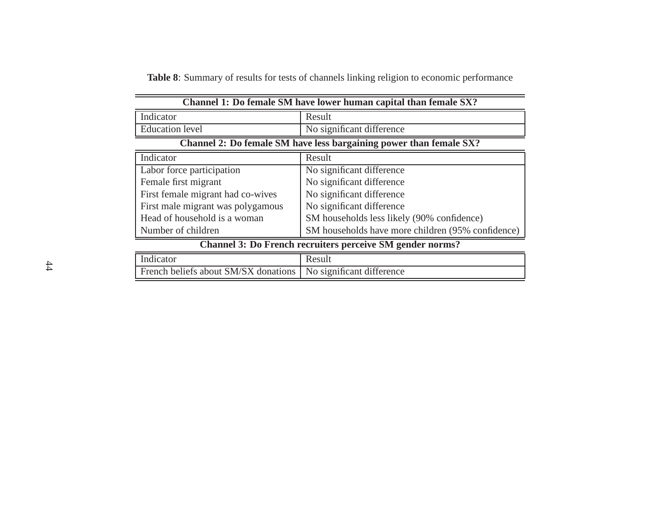**Table 8**: Summary of results for tests of channels linking religion to economic performance

|                                                                    | Channel 1: Do female SM have lower human capital than female SX? |  |  |
|--------------------------------------------------------------------|------------------------------------------------------------------|--|--|
| Indicator                                                          | Result                                                           |  |  |
| <b>Education</b> level                                             | No significant difference                                        |  |  |
| Channel 2: Do female SM have less bargaining power than female SX? |                                                                  |  |  |
| Indicator                                                          | Result                                                           |  |  |
| Labor force participation                                          | No significant difference                                        |  |  |
| Female first migrant                                               | No significant difference                                        |  |  |
| First female migrant had co-wives                                  | No significant difference                                        |  |  |
| First male migrant was polygamous                                  | No significant difference                                        |  |  |
| Head of household is a woman                                       | SM households less likely (90% confidence)                       |  |  |
| Number of children                                                 | SM households have more children (95% confidence)                |  |  |
| Channel 3: Do French recruiters perceive SM gender norms?          |                                                                  |  |  |

| Indicator                                                        | Result |
|------------------------------------------------------------------|--------|
| French beliefs about SM/SX donations   No significant difference |        |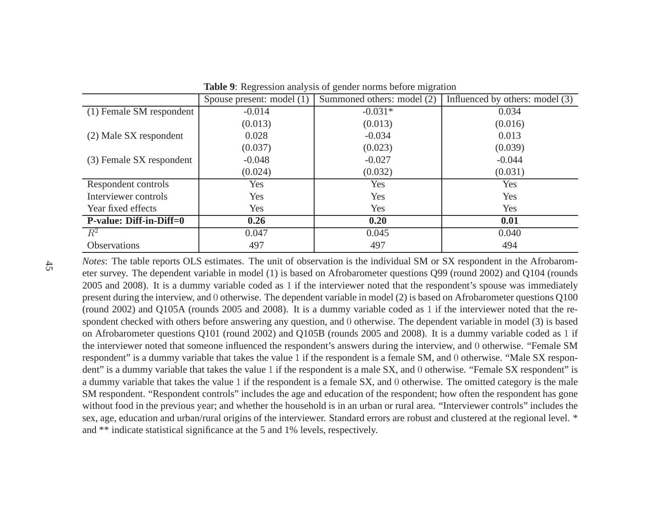|                                | Spouse present: model (1) | Summoned others: model (2) | Influenced by others: model (3) |
|--------------------------------|---------------------------|----------------------------|---------------------------------|
| (1) Female SM respondent       | $-0.014$                  | $-0.031*$                  | 0.034                           |
|                                | (0.013)                   | (0.013)                    | (0.016)                         |
| (2) Male SX respondent         | 0.028                     | $-0.034$                   | 0.013                           |
|                                | (0.037)                   | (0.023)                    | (0.039)                         |
| (3) Female SX respondent       | $-0.048$                  | $-0.027$                   | $-0.044$                        |
|                                | (0.024)                   | (0.032)                    | (0.031)                         |
| Respondent controls            | Yes                       | Yes                        | Yes                             |
| Interviewer controls           | Yes                       | Yes                        | Yes                             |
| Year fixed effects             | Yes                       | Yes                        | Yes                             |
| <b>P-value: Diff-in-Diff=0</b> | 0.26                      | 0.20                       | 0.01                            |
| $R^2$                          | 0.047                     | 0.045                      | 0.040                           |
| <b>Observations</b>            | 497                       | 497                        | 494                             |

**Table 9**: Regression analysis of gender norms before migration

*Notes*: The table reports OLS estimates. The unit of observation is the individual SM or SX respondent in the Afrobarometer survey. The dependent variable in model (1) is based on Afrobarometer questions Q99 (round 2002) and Q104 (rounds 2005 and 2008). It is <sup>a</sup> dummy variable coded as <sup>1</sup> if the interviewer noted that the respondent's spouse was immediately presen<sup>t</sup> during the interview, and <sup>0</sup> otherwise. The dependent variable in model (2) is based on Afrobarometer questions Q100 (round 2002) and Q105A (rounds 2005 and 2008). It is <sup>a</sup> dummy variable coded as <sup>1</sup> if the interviewer noted that the respondent checked with others before answering any question, and <sup>0</sup> otherwise. The dependent variable in model (3) is based on Afrobarometer questions Q101 (round 2002) and Q105B (rounds 2005 and 2008). It is <sup>a</sup> dummy variable coded as <sup>1</sup> if the interviewer noted that someone influenced the respondent's answers during the interview, and <sup>0</sup> otherwise. "Female SM respondent" is <sup>a</sup> dummy variable that takes the value 1 if the respondent is <sup>a</sup> female SM, and <sup>0</sup> otherwise. "Male SX respondent" is <sup>a</sup> dummy variable that takes the value 1 if the respondent is <sup>a</sup> male SX, and <sup>0</sup> otherwise. "Female SX respondent" is <sup>a</sup> dummy variable that takes the value 1 if the respondent is <sup>a</sup> female SX, and <sup>0</sup> otherwise. The omitted category is the male SM respondent. "Respondent controls" includes the age and education of the respondent; how often the respondent has gone without food in the previous year; and whether the household is in an urban or rural area. "Interviewer controls" includes the sex, age, education and urban/rural origins of the interviewer. Standard errors are robust and clustered at the regional level. \*and \*\* indicate statistical significance at the 5 and 1% levels, respectively.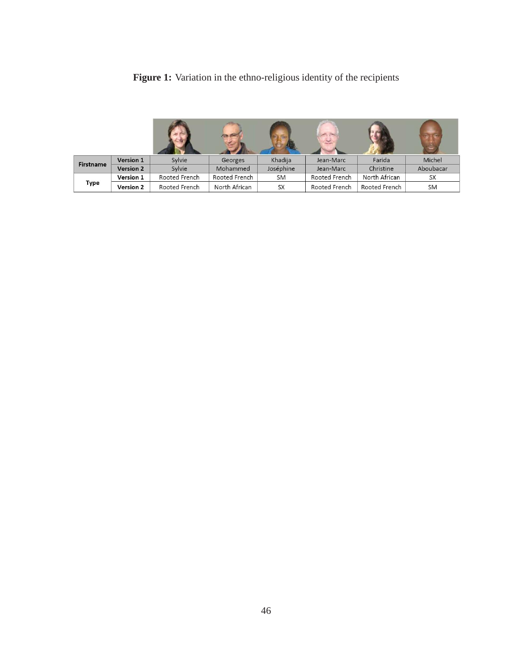| Figure 1: Variation in the ethno-religious identity of the recipients |  |  |  |  |
|-----------------------------------------------------------------------|--|--|--|--|
|                                                                       |  |  |  |  |

| Firstname | Version 1        | Sylvie        | Georges       | Khadija   | Jean-Marc     | Farida        | Michel    |
|-----------|------------------|---------------|---------------|-----------|---------------|---------------|-----------|
|           | <b>Version 2</b> | Sylvie        | Mohammed      | Joséphine | Jean-Marc     | Christine     | Aboubacar |
| Type      | Version 1        | Rooted French | Rooted French | <b>SM</b> | Rooted French | North African | <b>SX</b> |
|           | Version 2        | Rooted French | North African | <b>SX</b> | Rooted French | Rooted French | <b>SM</b> |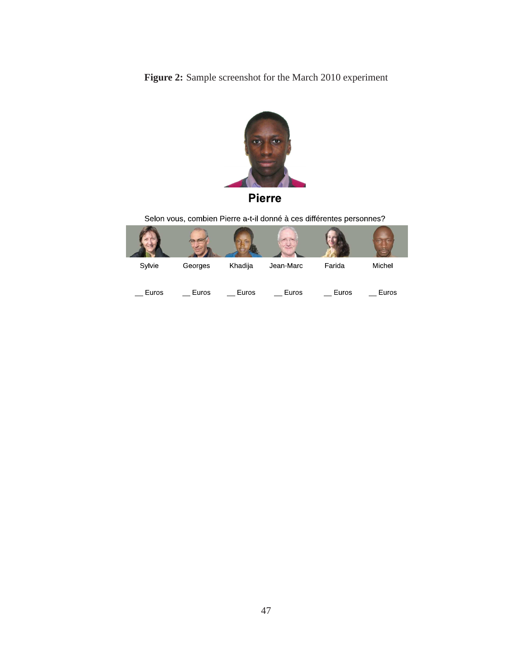**Figure 2:** Sample screenshot for the March 2010 experiment



Selon vous, combien Pierre a-t-il donné à ces différentes personnes?

| Sylvie | Georges | Khadija | Jean Marc | Farida | Michel |
|--------|---------|---------|-----------|--------|--------|
| Euros  | Euros   | Euros   | Euros     | Euros  | Euros  |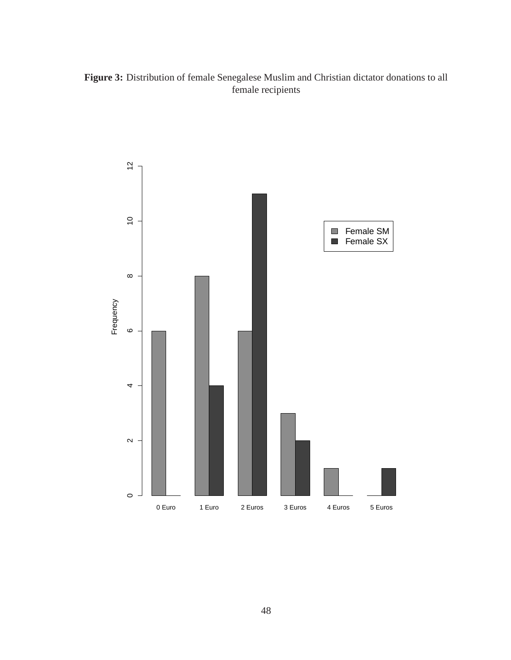#### **Figure 3:** Distribution of female Senegalese Muslim and Christian dictator donations to all female recipients